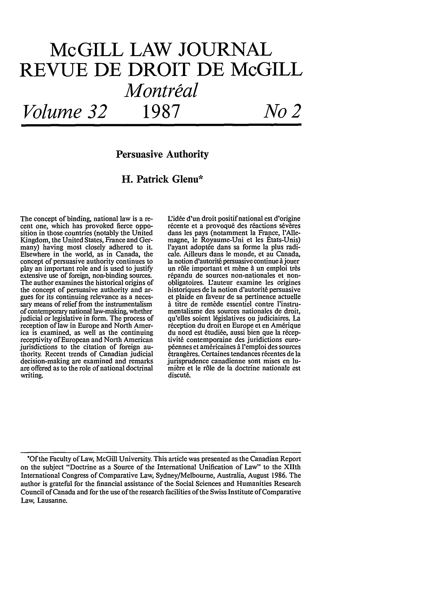# **McGILL LAW JOURNAL REVUE DE DROIT DE McGILL** *Montreal Volume 32* **1987** *No 2*

# Persuasive Authority

# H. Patrick Glenn\*

The concept of binding, national law is a recent one, which has provoked fierce opposition in those countries (notably the United Kingdom, the United States, France and Germany) having most closely adhered to it. Elsewhere in the world, as in Canada, the concept of persuasive authority continues to play an important role and is used to justify extensive use of foreign, non-binding sources. The author examines the historical origins of the concept of persuasive authority and argues for its continuing relevance as a necessary means of relief from the instrumentalism of contemporary national law-making, whether judicial or legislative in form. The process of reception of law in Europe and North America is examined, as well as the continuing receptivity of European and North American jurisdictions to the citation of foreign authority. Recent trends of Canadian judicial decision-making are examined and remarks are offered as to the role of national doctrinal writing.

L'idée d'un droit positif national est d'origine récente et a provoqué des réactions sévères dans les pays (notamment la France, l'Allemagne, le Royaume-Uni et les Etats-Unis) l'ayant adoptée dans sa forme la plus radicale. Ailleurs dans le monde, et au Canada, la notion d'autorité persuasive continue à jouer un rôle important et mène à un emploi très répandu de sources non-nationales et nonobligatoires. Uauteur examine les origines historiques de la notion d'autorité persuasive et plaide en faveur de sa pertinence actuelle **A** titre de remade essentiel contre l'instrumentalisme des sources nationales de droit, qu'elles soient l6gislatives ou judiciaires. La réception du droit en Europe et en Amérique du nord est étudiée, aussi bien que la réceptivit6 contemporaine des juridictions européennes et américaines à l'emploi des sources êtrangères. Certaines tendances récentes de la jurisprudence canadienne sont mises en lumière et le rôle de la doctrine nationale est discuté.

**\*Of** the Faculty of Law, McGill University. This article was presented as the Canadian Report on the subject "Doctrine as a Source of the International Unification of Law" to the XIIth International Congress of Comparative Law, Sydney/Melbourne, Australia, August 1986. The author is grateful for the financial assistance of the Social Sciences and Humanities Research Council of Canada and for the use of the research facilities of the Swiss Institute of Comparative Law, Lausanne.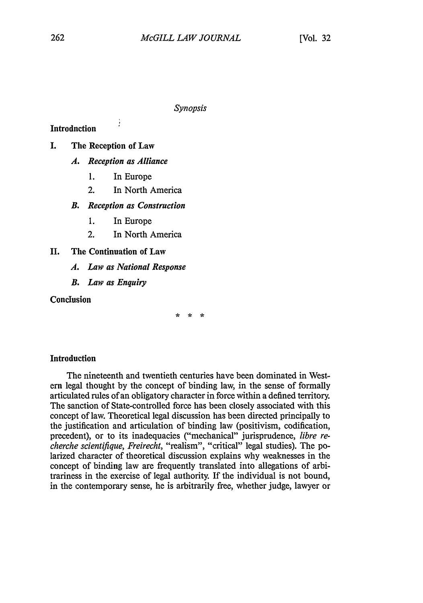*Synopsis*

**Introduction** 

- **I.** The Reception of Law
	- *A. Reception as Alliance*

è

- **1.** In Europe
- 2. In North America

*B. Reception as Construction*

- **1.** In Europe
- 2. In North America

II. The Continuation of Law

- *A. Law as National Response*
- *B. Law as Enquiry*

**Conclusion** 

 $\frac{1}{2}$ مهه

### Introduction

The nineteenth and twentieth centuries have been dominated in Western legal thought by the concept of binding law, in the sense of formally articulated rules of an obligatory character in force within a defined territory. The sanction of State-controlled force has been closely associated with this concept of law. Theoretical legal discussion has been directed principally to the justification and articulation of binding law (positivism, codification, precedent), or to its inadequacies ("mechanical" jurisprudence, *libre recherche scientifique, Freirecht,* "realism", "critical" legal studies). The polarized character of theoretical discussion explains why weaknesses in the concept of binding law are frequently translated into allegations of arbitrariness in the exercise of legal authority. If the individual is not bound, in the contemporary sense, he is arbitrarily free, whether judge, lawyer or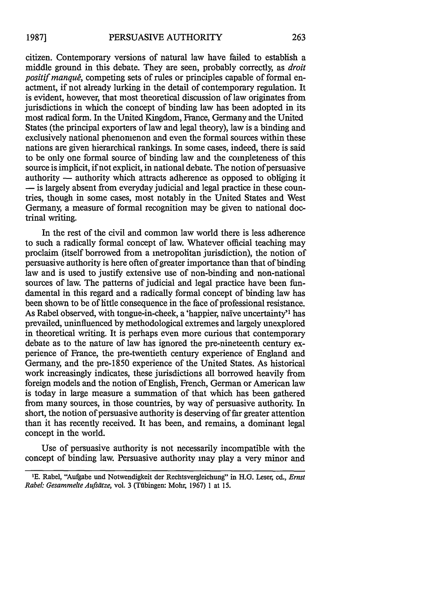citizen. Contemporary versions of natural law have failed to establish a middle ground in this debate. They are seen, probably correctly, as *droit positif manqué*, competing sets of rules or principles capable of formal enactment, if not already lurking in the detail of contemporary regulation. It is evident, however, that most theoretical discussion of law originates from jurisdictions in which the concept of binding law has been adopted in its most radical form. In the United Kingdom, France, Germany and the United States (the principal exporters of law and legal theory), law is a binding and exclusively national phenomenon and even the formal sources within these nations are given hierarchical rankings. In some cases, indeed, there is said to be only one formal source of binding law and the completeness of this source is implicit, if not explicit, in national debate. The notion of persuasive authority — authority which attracts adherence as opposed to obliging it **-** is largely absent from everyday judicial and legal practice in these countries, though in some cases, most notably in the United States and West Germany, a measure of formal recognition may be given to national doctrinal writing.

In the rest of the civil and common law world there is less adherence to such a radically formal concept of law. Whatever official teaching may proclaim (itself borrowed from a metropolitan jurisdiction), the notion of persuasive authority is here often of greater importance than that of binding law and is used to justify extensive use of non-binding and non-national sources of law. The patterns of judicial and legal practice have been fundamental in this regard and a radically formal concept of binding law has been shown to be of little consequence in the face of professional resistance. As Rabel observed, with tongue-in-cheek, a 'happier, naive uncertainty" has prevailed, uninfluenced by methodological extremes and largely unexplored in theoretical writing. It is perhaps even more curious that contemporary debate as to the nature of law has ignored the pre-nineteenth century experience of France, the pre-twentieth century experience of England and Germany, and the pre-1850 experience of the United States. As historical work increasingly indicates, these jurisdictions all borrowed heavily from foreign models and the notion of English, French, German or American law is today in large measure a summation of that which has been gathered from many sources, in those countries, by way of persuasive authority. In short, the notion of persuasive authority is deserving of far greater attention than it has recently received. It has been, and remains, a dominant legal concept in the world.

Use of persuasive authority is not necessarily incompatible with the concept of binding law. Persuasive authority may play a very minor and

<sup>&#</sup>x27;E. Rabel, "Aufgabe und Notwendigkeit der Rechtsvergleichung" in H.G. Leser, ed., *Ernst Rabel: Gesammelte Aufsdtze,* vol. 3 (Tfibingen: Mohr, 1967) 1 at 15.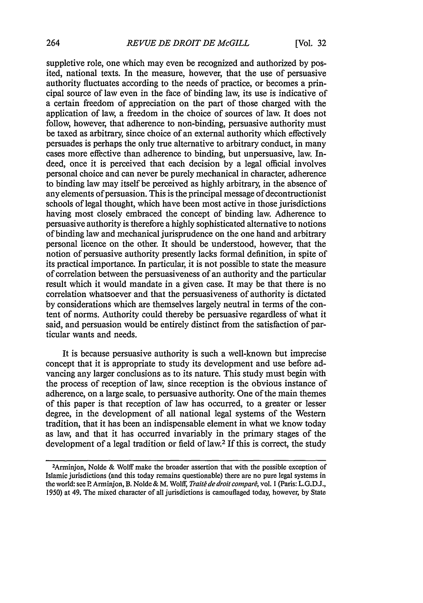suppletive role, one which may even be recognized and authorized by posited, national texts. In the measure, however, that the use of persuasive authority fluctuates according to the needs of practice, or becomes a principal source of law even in the face of binding law, its use is indicative of a certain freedom of appreciation on the part of those charged with the application of law, a freedom in the choice of sources of law. It does not follow, however, that adherence to non-binding, persuasive authority must be taxed as arbitrary, since choice of an external authority which effectively persuades is perhaps the only true alternative to arbitrary conduct, in many cases more effective than adherence to binding, but unpersuasive, law. Indeed, once it is perceived that each decision by a legal official involves personal choice and can never be purely mechanical in character, adherence to binding law may itself be perceived as highly arbitrary, in the absence of any elements of persuasion. This is the principal message of decontructionist schools of legal thought, which have been most active in those jurisdictions having most closely embraced the concept of binding law. Adherence to persuasive authority is therefore a highly sophisticated alternative to notions of binding law and mechanical jurisprudence on the one hand and arbitrary personal licence on the other. It should be understood, however, that the notion of persuasive authority presently lacks formal definition, in spite of its practical importance. In particular, it is not possible to state the measure of correlation between the persuasiveness of an authority and the particular result which it would mandate in a given case. It may be that there is no correlation whatsoever and that the persuasiveness of authority is dictated by considerations which are themselves largely neutral in terms of the content of norms. Authority could thereby be persuasive regardless of what it said, and persuasion would be entirely distinct from the satisfaction of particular wants and needs.

It is because persuasive authority is such a well-known but imprecise concept that it is appropriate to study its development and use before advancing any larger conclusions as to its nature. This study must begin with the process of reception of law, since reception is the obvious instance of adherence, on a large scale, to persuasive authority. One of the main themes of this paper is that reception of law has occurred, to a greater or lesser degree, in the development of all national legal systems of the Western tradition, that it has been an indispensable element in what we know today as law, and that it has occurred invariably in the primary stages of the development of a legal tradition or field of law.2 If this is correct, the study

<sup>2</sup> Arminjon, Nolde & Wolff make the broader assertion that with the possible exception of Islamic jurisdictions (and this today remains questionable) there are no pure legal systems in the world: see P. Arminjon, B. Nolde & M. Wolff, *Traité de droit comparé*, vol. 1 (Paris: L.G.D.J., 1950) at 49. The mixed character of all jurisdictions is camouflaged today, however, by State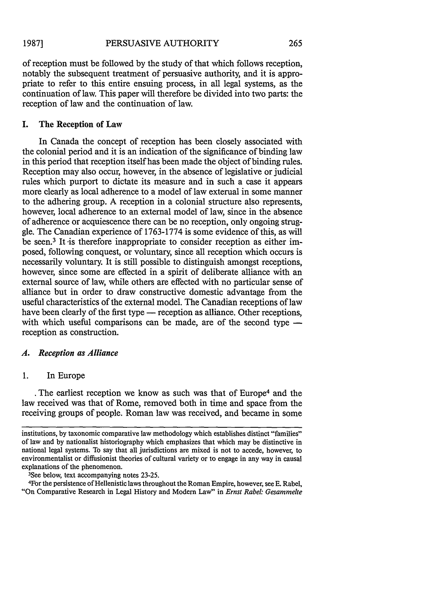of reception must be followed by the study of that which follows reception, notably the subsequent treatment of persuasive authority, and it is appro-

priate to refer to this entire ensuing process, in all legal systems, as the continuation of law. This paper will therefore be divided into two parts: the reception of law and the continuation of law.

### I. The Reception of Law

In Canada the concept of reception has been closely associated with the colonial period and it is an indication of the significance of binding law in this period that reception itself has been made the object of binding rules. Reception may also occur, however, in the absence of legislative or judicial rules which purport to dictate its measure and in such a case it appears more clearly as local adherence to a model of law external in some manner to the adhering group. A reception in a colonial structure also represents, however, local adherence to an external model of law, since in the absence of adherence or acquiescence there can be no reception, only ongoing struggle. The Canadian experience of 1763-1774 is some evidence of this, as will be seen.<sup>3</sup> It is therefore inappropriate to consider reception as either imposed, following conquest, or voluntary, since all reception which occurs is necessarily voluntary. It is still possible to distinguish amongst receptions, however, since some are effected in a spirit of deliberate alliance with an external source of law, while others are effected with no particular sense of alliance but in order to draw constructive domestic advantage from the useful characteristics of the external model. The Canadian receptions of law have been clearly of the first type — reception as alliance. Other receptions, with which useful comparisons can be made, are of the second type  $$ reception as construction.

### *A. Reception as Alliance*

### 1. In Europe

The earliest reception we know as such was that of Europe<sup>4</sup> and the law received was that of Rome, removed both in time and space from the receiving groups of people. Roman law was received, and became in some

<sup>3</sup>See below, text accompanying notes 23-25.

4 For the persistence of Hellenistic laws throughout the Roman Empire, however, see E. Rabel, "On Comparative Research in Legal History and Modem Law" in *Ernst Rabel Gesamrnmelte*

institutions, by taxonomic comparative law methodology which establishes distinct "families" of law and by nationalist historiography which emphasizes that which may be distinctive in national legal systems. To say that all jurisdictions are mixed is not to accede, however, to environmentalist or diffusionist theories of cultural variety or to engage in any way in causal explanations of the phenomenon.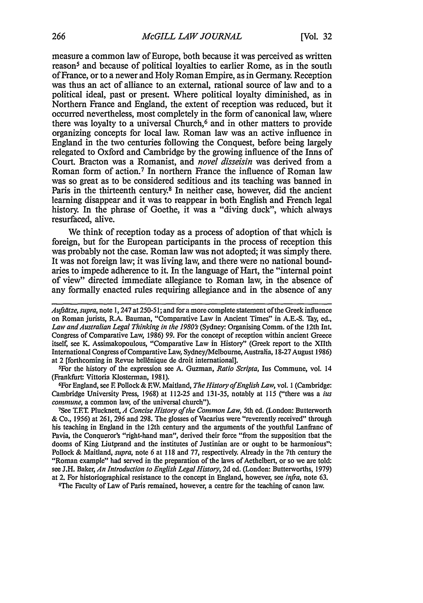measure a common law of Europe, both because it was perceived as written reason<sup>5</sup> and because of political loyalties to earlier Rome, as in the south of France, or to a newer and Holy Roman Empire, as in Germany. Reception was thus an act of alliance to an external, rational source of law and to a political ideal, past or present. Where political loyalty diminished, as in Northern France and England, the extent of reception was reduced, but it occurred nevertheless, most completely in the form of canonical law, where there was loyalty to a universal Church,<sup>6</sup> and in other matters to provide organizing concepts for local law. Roman law was an active influence in England in the two centuries following the Conquest, before being largely relegated to Oxford and Cambridge by the growing influence of the Inns of Court. Bracton was a Romanist, and *novel disseisin* was derived from a Roman form of action.7 In northern France the influence of Roman law was so great as to be considered seditious and its teaching was banned in Paris in the thirteenth century.<sup>8</sup> In neither case, however, did the ancient learning disappear and it was to reappear in both English and French legal history. In the phrase of Goethe, it was a "diving duck", which always resurfaced, alive.

We think of reception today as a process of adoption of that which is foreign, but for the European participants in the process of reception this was probably not the case. Roman law was not adopted; it was simply there. It was not foreign law; it was living law, and there were no national boundaries to impede adherence to it. In the language of Hart, the "internal point of view" directed immediate allegiance to Roman law, in the absence of any formally enacted rules requiring allegiance and in the absence of any

5 For the history of the expression see A. Guzman, *Ratio Scripta,* lus Commune, vol. 14 (Frankfurt: Vittoria Klosterman, 1981).

For England, see F Pollock & EW. Maitland, *The History ofEnglish Law,* vol. 1 (Cambridge: Cambridge University Press, 1968) at 112-25 and 131-35, notably at 115 ("there was a *ius commune*, a common law, of the universal church").

See T.FT. Plucknett, *A Concise History of the Common Law,* 5th ed. (London: Butterworth & Co., 1956) at 261, 296 and 298. The glosses of Vacarius were "reverently received" through his teaching in England in the 12th century and the arguments of the youthful Lanfranc of Pavia, the Conqueror's "right-hand man", derived their force "from the supposition that the dooms of King Liutprand and the institutes of Justinian are or ought to be harmonious": Pollock & Maitland, *supra,* note 6 at 118 and 77, respectively. Already in the 7th century the "Roman example" had served in the preparation of the laws of Aethelbert, or so we are told: see J.H. Baker, *An Introduction to English Legal History,* 2d ed. (London: Butterworths, 1979) at 2. For historiographical resistance to the concept in England, however, see *infra,* note 63.

8 The Faculty of Law of Paris remained, however, a centre for the teaching of canon law.

*Aufsdtze, supra,* note **1,** 247 at 250-51; and for a more complete statement of the Greek influence on Roman jurists, R.A. Bauman, "Comparative Law in Ancient Times" in A.E.-S. Tay, ed., Law and Australian Legal Thinking in the 1980's (Sydney: Organising Comm. of the 12th Int. Congress of Comparative Law, 1986) 99. For the concept of reception within ancient Greece itself, see K. Assimakopoulous, "Comparative Law in History" (Greek report to the XIIth International Congress of Comparative Law, Sydney/Melbourne, Australia, 18-27 August 1986) at 2 [forthcoming in Revue hell6nique de droit international].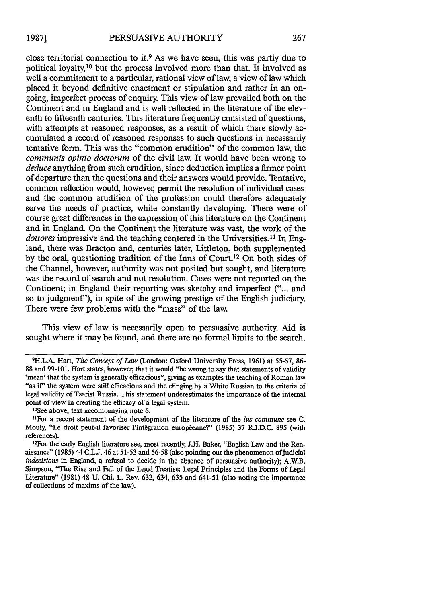close territorial connection to it.9 As we have seen, this was partly due to political loyalty,10 but the process involved more than that. It involved as well a commitment to a particular, rational view of law, a view of law which placed it beyond definitive enactment or stipulation and rather in an ongoing, imperfect process of enquiry. This view of law prevailed both on the Continent and in England and is well reflected in the literature of the eleventh to fifteenth centuries. This literature frequently consisted of questions, with attempts at reasoned responses, as a result of which there slowly accumulated a record of reasoned responses to such questions in necessarily tentative form. This was the "common erudition" of the common law, the *communis opinio doctorum* of the civil law. It would have been wrong to *deduce* anything from such erudition, since deduction implies a firmer point of departure than the questions and their answers would provide. Tentative, common reflection would, howeve; permit the resolution of individual cases and the common erudition of the profession could therefore adequately serve the needs of practice, while constantly developing. There were of course great differences in the expression of this literature on the Continent and in England. On the Continent the literature was vast, the work of the *dottores* impressive and the teaching centered in the Universities.<sup>11</sup> In England, there was Bracton and, centuries later, Littleton, both supplemented by the oral, questioning tradition of the Inns of Court.12 On both sides of the Channel, however, authority was not posited but sought, and literature was the record of search and not resolution. Cases were not reported on the Continent; in England their reporting was sketchy and imperfect ("... and so to judgment"), in spite of the growing prestige of the English judiciary. There were few problems with the "mass" of the law.

This view of law is necessarily open to persuasive authority. Aid is sought where it may be found, and there are no formal limits to the search.

<sup>9</sup> H.L.A. Hart, *The Concept of* Law (London: Oxford University Press, 1961) at 55-57, 86- 88 and 99-101. Hart states, however, that it would "be wrong to say that statements of validity 'mean' that the system is generally efficacious", giving as examples the teaching of Roman law "as if' the system were still efficacious and the clinging **by** a White Russian to the criteria of legal validity of Tsarist Russia. This statement underestimates the importance of the internal point of view in creating the efficacy of a legal system.

<sup>&</sup>lt;sup>10</sup>See above, text accompanying note 6.

<sup>&</sup>quot;For a recent statement of the development of the literature of the ius *commune* see C. Mouly, "Le droit peut-il favoriser l'intégration européenne?" (1985) 37 R.I.D.C. 895 (with references).

<sup>&#</sup>x27; 2 For the early English literature see, most recently, J.H. Baker, "English Law and the Renaissance" (1985) 44 C.L.J. 46 at 51-53 and 56-58 (also pointing out the phenomenon of judicial *indecisions* in England, a refusal to decide in the absence of persuasive authority); A.W.B. Simpson, "The Rise and Fall of the Legal Treatise: Legal Principles and the Forms of Legal Literature" (1981) 48 U. Chi. L. Rev. 632, 634, 635 and 641-51 (also noting the importance of collections of maxims of the law).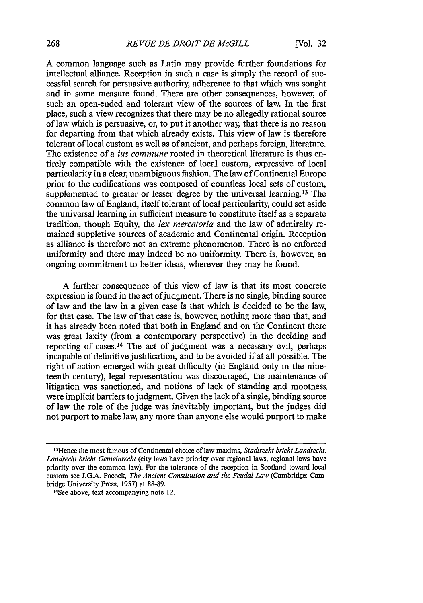A common language such as Latin may provide further foundations for intellectual alliance. Reception in such a case is simply the record of successful search for persuasive authority, adherence to that which was sought and in some measure found. There are other consequences, however, of such an open-ended and tolerant view of the sources of law. In the first place, such a view recognizes that there may be no allegedly rational source of law which is persuasive, or, to put it another way, that there is no reason for departing from that which already exists. This view of law is therefore tolerant of local custom as well as of ancient, and perhaps foreign, literature. The existence of a *ius commune* rooted in theoretical literature is thus entirely compatible with the existence of local custom, expressive of local particularity in a clear, unambiguous fashion. The law of Continental Europe prior to the codifications was composed of countless local sets of custom, supplemented to greater or lesser degree by the universal learning.<sup>13</sup> The common law of England, itself tolerant of local particularity, could set aside the universal learning in sufficient measure to constitute itself as a separate tradition, though Equity, the *lex mercatoria* and the law of admiralty remained suppletive sources of academic and Continental origin. Reception as alliance is therefore not an extreme phenomenon. There is no enforced uniformity and there may indeed be no uniformity. There is, however, an ongoing commitment to better ideas, wherever they may be found.

A further consequence of this view of law is that its most concrete expression is found in the act of judgment. There is no single, binding source of law and the law in a given case is that which is decided to be the law, for that case. The law of that case is, however, nothing more than that, and it has already been noted that both in England and on the Continent there was great laxity (from a contemporary perspective) in the deciding and reporting of cases.<sup>14</sup> The act of judgment was a necessary evil, perhaps incapable of definitive justification, and to be avoided if at all possible. The right of action emerged with great difficulty (in England only in the nineteenth century), legal representation was discouraged, the maintenance of litigation was sanctioned, and notions of lack of standing and mootness. were implicit barriers to judgment. Given the lack of a single, binding source of law the role of the judge was inevitably important, but the judges did not purport to make law, any more than anyone else would purport to make

<sup>&#</sup>x27; 3 Hence the most famous of Continental choice of law maxims, *Stadtrecht bricht Landrecht, Landrecht bricht Gemeinrecht* (city laws have priority over regional laws, regional laws have priority over the common law). For the tolerance of the reception in Scotland toward local custom see J.G.A. Pocock, *The Ancient Constitution and the Feudal Law* (Cambridge: Cambridge University Press, 1957) at 88-89.

<sup>1</sup> 4 Sce above, text accompanying note 12.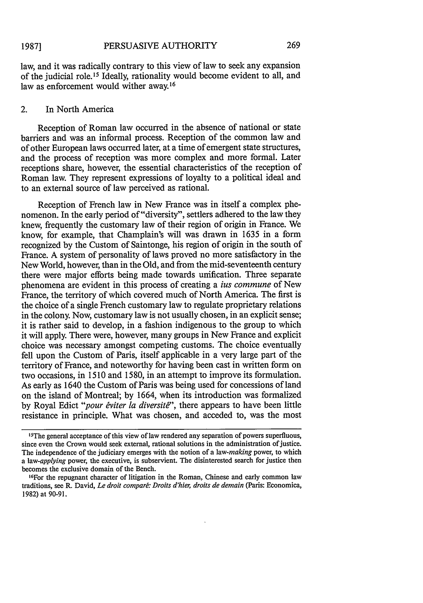law, and it was radically contrary to this view of law to seek any expansion of the judicial role.15 Ideally, rationality would become evident to all, and law as enforcement would wither away.<sup>16</sup>

### 2. In North America

Reception of Roman law occurred in the absence of national or state barriers and was an informal process. Reception of the common law and of other European laws occurred later, at a time of emergent state structures, and the process of reception was more complex and more formal. Later receptions share, however, the essential characteristics of the reception of Roman law. They represent expressions of loyalty to a political ideal and to an external source of law perceived as rational.

Reception of French law in New France was in itself a complex phenomenon. In the early period of "diversity", settlers adhered to the law they knew, frequently the customary law of their region of origin in France. We know, for example, that Champlain's will was drawn in 1635 in a form recognized by the Custom of Saintonge, his region of origin in the south of France. A system of personality of laws proved no more satisfactory in the New World, however, than in the Old, and from the mid-seventeenth century there were major efforts being made towards unification. Three separate phenomena are evident in this process of creating a *ius commune* of New France, the territory of which covered much of North America. The first is the choice of a single French customary law to regulate proprietary relations in the colony. Now, customary law is not usually chosen, in an explicit sense; it is rather said to develop, in a fashion indigenous to the group to which it will apply. There were, however, many groups in New France and explicit choice was necessary amongst competing customs. The choice eventually fell upon the Custom of Paris, itself applicable in a very large part of the territory of France, and noteworthy for having been cast in written form on two occasions, in 1510 and 1580, in an attempt to improve its formulation. As early as 1640 the Custom of Paris was being used for concessions of land on the island of Montreal; by 1664, when its introduction was formalized by Royal Edict "pour éviter la diversité", there appears to have been little resistance in principle. What was chosen, and acceded to, was the most

<sup>&</sup>lt;sup>15</sup>The general acceptance of this view of law rendered any separation of powers superfluous, since even the Crown would seek external, rational solutions in the administration of justice. The independence of the judiciary emerges with the notion of a *law-making* power, to which *a law-applying* power, the executive, is subservient. The disinterested search for justice then becomes the exclusive domain of the Bench.

<sup>1</sup> 6 For the repugnant character of litigation in the Roman, Chinese and early common law traditions, see R. David, *Le droit comparé: Droits d'hier, droits de demain* (Paris: Economica, 1982) at 90-91.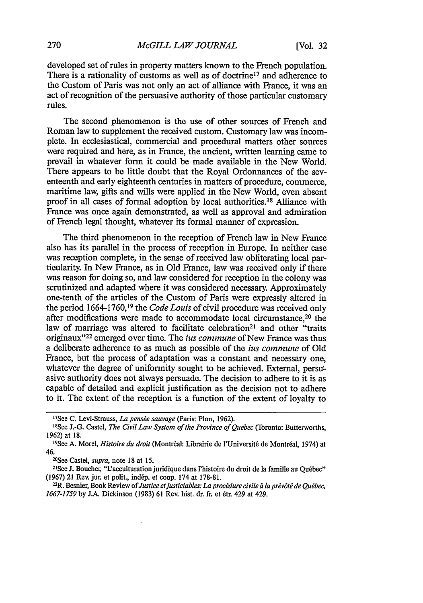developed set of rules in property matters known to the French population. There is a rationality of customs as well as of doctrine<sup>17</sup> and adherence to the Custom of Paris was not only an act of alliance with France, it was an act of recognition of the persuasive authority of those particular customary rules.

The second phenomenon is the use of other sources of French and Roman law to supplement the received custom. Customary law was incomplete. In ecclesiastical, commercial and procedural matters other sources were required and here, as in France, the ancient, written learning came to prevail in whatever form it could be made available in the New World. There appears to be little doubt that the Royal Ordonnances of the seventeenth and early eighteenth centuries in matters of procedure, commerce, maritime law, gifts and wills were applied in the New World, even absent proof in all cases of formal adoption by local authorities.'8 Alliance with France was once again demonstrated, as well as approval and admiration of French legal thought, whatever its formal manner of expression.

The third phenomenon in the reception of French law in New France also has its parallel in the process of reception in Europe. In neither case was reception complete, in the sense of received law obliterating local particularity. In New France, as in Old France, law was received only if there was reason for doing so, and law considered for reception in the colony was scrutinized and adapted where it was considered necessary. Approximately one-tenth of the articles of the Custom of Paris were expressly altered in the period **1664-1760,1<sup>9</sup>**the *Code Louis* of civil procedure was received only after modifications were made to accommodate local circumstance, 20 the law of marriage was altered to facilitate celebration<sup>21</sup> and other "traits" originaux" 22 emerged over time. The ius *commune* of New France was thus a deliberate adherence to as much as possible of the ius *commune* of Old France, but the process of adaptation was a constant and necessary one, whatever the degree of uniformity sought to be achieved. External, persuasive authority does not always persuade. The decision to adhere to it is as capable of detailed and explicit justification as the decision not to adhere to it. The extent of the reception is a function of the extent of loyalty to

<sup>20</sup>See Castel, *supra*, note 18 at 15.

<sup>1</sup> 7 See **C.** Levi-Strauss, *La penste sauvage* (Paris: Plon, 1962).

<sup>1</sup> 8 See J.-G. Castel, *The Civil Law System of the Province of Quebec* (Toronto: Butterworths, 1962) at 18.

er, al rec<br><sup>19</sup>See A. Morel, *Histoire du droit* (Montréal: Librairie de l'Université de Montréal, 1974) at 46.

<sup>&</sup>lt;sup>21</sup>See J. Boucher, "L'acculturation juridique dans l'histoire du droit de la famille au Québec" (1967) 21 Rev. jur. et polit., indép. et coop. 174 at 178-81.

<sup>&</sup>lt;sup>22</sup>R. Besnier, Book Review of *Justice et justiciables: La procédure civile à la prévôté de Québec, 1667-1759* by J.A. Dickinson (1983) 61 Rev. hist. dr. fr. et 6tr. 429 at 429.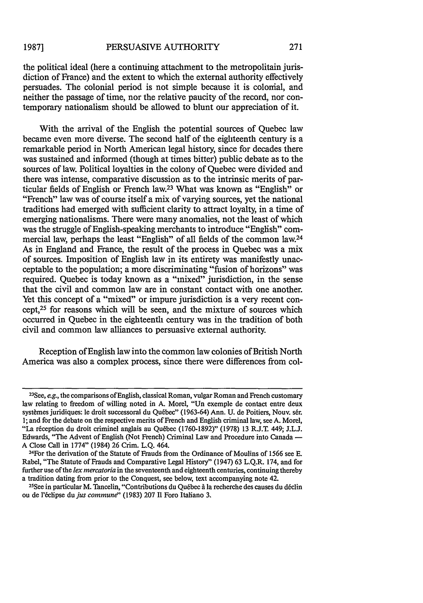#### PERSUASIVE AUTHORITY **1987]**

the political ideal (here a continuing attachment to the metropolitain jurisdiction of France) and the extent to which the external authority effectively persuades. The colonial period is not simple because it is colonial, and neither the passage of time, nor the relative paucity of the record, nor contemporary nationalism should be allowed to blunt our appreciation of it.

With the arrival of the English the potential sources of Quebec law became even more diverse. The second half of the eighteenth century is a remarkable period in North American legal history, since for decades there was sustained and informed (though at times bitter) public debate as to the sources of law. Political loyalties in the colony of Quebec were divided and there was intense, comparative discussion as to the intrinsic merits of particular fields of English or French law.<sup>23</sup> What was known as "English" or "French" law was of course itself a mix of varying sources, yet the national traditions had emerged with sufficient clarity to attract loyalty, in a time of emerging nationalisms. There were many anomalies, not the least of which was the struggle of English-speaking merchants to introduce "English" commercial law, perhaps the least "English" of all fields of the common law.24 As in England and France, the result of the process in Quebec was a mix of sources. Imposition of English law in its entirety was manifestly unacceptable to the population; a more discriminating "fusion of horizons" was required. Quebec is today known as a "mixed" jurisdiction, in the sense that the civil and common law are in constant contact with one another. Yet this concept of a "mixed" or impure jurisdiction is a very recent concept,25 for reasons which will be seen, and the mixture of sources which occurred in Quebec in the eighteenth century was in the tradition of both civil and common law alliances to persuasive external authority.

Reception of English law into the common law colonies of British North America was also a complex process, since there were differences from col-

<sup>&</sup>lt;sup>23</sup>See, *e.g.*, the comparisons of English, classical Roman, vulgar Roman and French customary law relating to freedom of willing noted in A. Morel, "Un exemple de contact entre deux systmes juridiques: le droit successoral du Quebec" (1963-64) Ann. U. de Poitiers, Nouv. ser. 1; and for the debate on the respective merits of French and English criminal law, see A. Morel, "La réception du droit criminel anglais au Québec (1760-1892)" (1978) 13 R.J.T. 449; J.L.J. Edwards, "The Advent of English (Not French) Criminal Law and Procedure into Canada **-** A Close Call in 1774" (1984) 26 Crim. L.Q. 464. <sup>24</sup>

<sup>&</sup>lt;sup>24</sup> For the derivation of the Statute of Frauds from the Ordinance of Moulins of 1566 see E. Rabel, "The Statute of Frauds and Comparative Legal History" (1947) 63 L.Q.R. 174, and for further use of the *lex mercatoria* in the seventeenth and eighteenth centuries, continuing thereby a tradition dating from prior to the Conquest, see below, text accompanying note 42.

See in particular M. Tancelin, "Contributions du Qu6bec **A** la recherche des causes du d6clin ou de l'éclipse du *jus commune*" (1983) 207 Il Foro Italiano 3.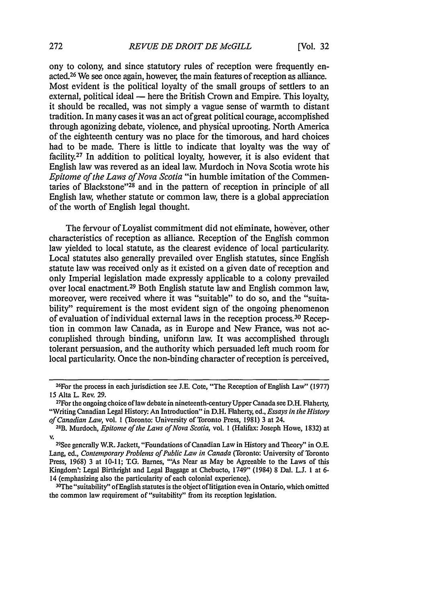ony to colony, and since statutory rules of reception were frequently enacted.26 We see once again, however, the main features of reception as alliance. Most evident is the political loyalty of the small groups of settlers to an external, political ideal  $-$  here the British Crown and Empire. This loyalty, it should be recalled, was not simply a vague sense of warmth to distant tradition. In many cases it was an act of great political courage, accomplished through agonizing debate, violence, and physical uprooting. North America of the eighteenth century was no place for the timorous, and hard choices had to be made. There is little to indicate that loyalty was the way of facility.<sup>27</sup> In addition to political loyalty, however, it is also evident that English law was revered as an ideal law. Murdoch in Nova Scotia wrote his *Epitome of the Laws of Nova Scotia* "in humble imitation of the Commentaries of Blackstone"<sup>28</sup> and in the pattern of reception in principle of all English law, whether statute or common law, there is a global appreciation of the worth of English legal thought.

The fervour of Loyalist commitment did not eliminate, however, other characteristics of reception as alliance. Reception of the English common law yielded to local statute, as the clearest evidence of local particularity. Local statutes also generally prevailed over English statutes, since English statute law was received only as it existed on a given date of reception and only Imperial legislation made expressly applicable to a colony prevailed over local enactment. 29 Both English statute law and English common law, moreover, were received where it was "suitable" to do so, and the "suitability" requirement is the most evident sign of the ongoing phenomenon of evaluation of individual external laws in the reception process. 30 Reception in common law Canada, as in Europe and New France, was not accomplished through binding, uniform law. It was accomplished through tolerant persuasion, and the authority which persuaded left much room for local particularity. Once the non-binding character of reception is perceived,

<sup>30</sup>The "suitability" of English statutes is the object of litigation even in Ontario, which omitted the common law requirement of "suitability" from its reception legislation.

<sup>&</sup>lt;sup>26</sup>For the process in each jurisdiction see J.E. Cote, "The Reception of English Law" (1977) **15** Alta *L.* Rev. 29.

<sup>27</sup>For the ongoing choice of law debate in nineteenth-century Upper Canada see D.H. Flaherty, "Writing Canadian Legal History: An Introduction" in D.H. Flaherty, ed., *Essays in the History of Canadian Law,* vol. 1 (Toronto: University of Toronto Press, 1981) 3 at 24.

<sup>28</sup> B. Murdoch, *Epitome of the Laws of Nova Scotia,* vol. 1 (Halifax: Joseph Howe, 1832) at **v.**

**<sup>29</sup>See** generally W.R. Jackett, "Foundations of Canadian Law in History and Theory" in O.E. Lang, ed., *Contemporary Problems of Public Law in Canada* (Toronto: University of Toronto Press, 1968) 3 at 10-11; T.G. Barnes, "'As Near as May be Agreeable to the Laws of this Kingdom': Legal Birthright and Legal Baggage at Chebucto, 1749" (1984) 8 Dal. L.J. **I** at 6- 14 (emphasizing also the particularity of each colonial experience). <sup>3</sup>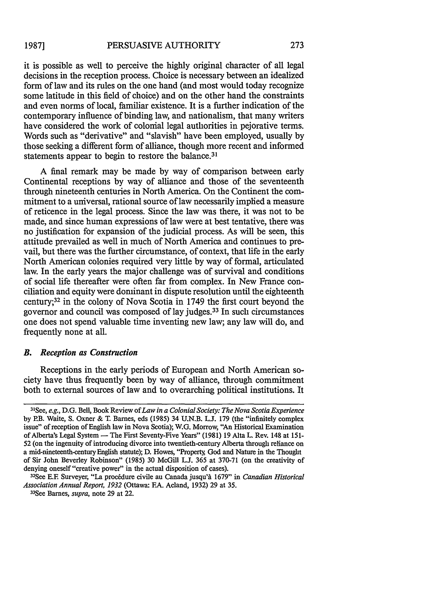it is possible as well to perceive the highly original character of all legal decisions in the reception process. Choice is necessary between an idealized form of law and its rules on the one hand (and most would today recognize some latitude in this field of choice) and on the other hand the constraints and even norms of local, familiar existence. It is a further indication of the contemporary influence of binding law, and nationalism, that many writers have considered the work of colonial legal authorities in pejorative terms. Words such as "derivative" and "slavish" have been employed, usually by those seeking a different form of alliance, though more recent and informed statements appear to begin to restore the balance.<sup>31</sup>

A final remark may be made by way of comparison between early Continental receptions by way of alliance and those of the seventeenth through nineteenth centuries in North America. On the Continent the commitment to a universal, rational source of law necessarily implied a measure of reticence in the legal process. Since the law was there, it was not to be made, and since human expressions of law were at best tentative, there was no justification for expansion of the judicial process. As will be seen, this attitude prevailed as well in much of North America and continues to prevail, but there was the further circumstance, of context, that life in the early North American colonies required very little by way of formal, articulated law. In the early years the major challenge was of survival and conditions of social life thereafter were often far from complex. In New France conciliation and equity were dominant in dispute resolution until the eighteenth century;32 in the colony of Nova Scotia in 1749 the first court beyond the governor and council was composed of lay judges. 33 In such circumstances one does not spend valuable time inventing new law; any law will do, and frequently none at all.

### *B. Reception as Construction*

Receptions in the early periods of European and North American society have thus frequently been by way of alliance, through commitment both to external sources of law and to overarching political institutions. It

<sup>31</sup> See, *e.g.,* D.G. Bell, Book Review of *Law in a Colonial Society: The Nova Scotia Experience* by RB. Waite, S. Oxner & T. Barnes, eds (1985) 34 U.N.B. **Li.** 179 (the "infinitely complex issue" of reception of English law in Nova Scotia); W.G. Morrow, "An Historical Examination of Alberta's Legal System - The First Seventy-Five Years" (1981) 19 Alta L. Rev. 148 at 151-52 (on the ingenuity of introducing divorce into twentieth-century Alberta through reliance on a mid-nineteenth-century English statute); D. Howes, "Property God and Nature in the Thought of Sir John Beverley Robinson" (1985) 30 McGill L.J. 365 at 370-71 (on the creativity of denying oneself "creative power" in the actual disposition of cases).

<sup>&</sup>lt;sup>32</sup>See E.F. Surveyer, "La procédure civile au Canada jusqu'à 1679" in *Canadian Historical* Association Annual Report, 1932 (Ottawa: F.A. Acland, 1932) 29 at 35.

<sup>&</sup>lt;sup>33</sup>See Barnes, *supra*, note 29 at 22.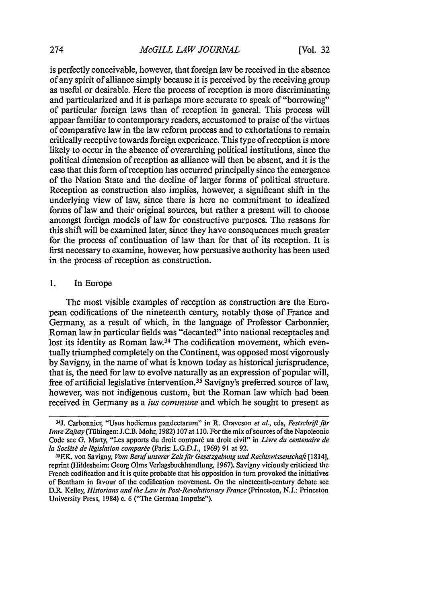is perfectly conceivable, however, that foreign law be received in the absence of any spirit of alliance simply because it is perceived by the receiving group as useful or desirable. Here the process of reception is more discriminating and particularized and it is perhaps more accurate to speak of "borrowing" of particular foreign laws than of reception in general. This process will appear familiar to contemporary readers, accustomed to praise of the virtues of comparative law in the law reform process and to exhortations to remain critically receptive towards foreign experience. This type of reception is more likely to occur in the absence of overarching political institutions, since the political dimension of reception as alliance will then be absent, and it is the case that this form of reception has occurred principally since the emergence of the Nation State and the decline of larger forms of political structure. Reception as construction also implies, however, a significant shift in the underlying view of law, since there is here no commitment to idealized forms of law and their original sources, but rather a present will to choose amongst foreign models of law for constructive purposes. The reasons for this shift will be examined later, since they have consequences much greater for the process of continuation of law than for that of its reception. It is first necessary to examine, however, how persuasive authority has been used in the process of reception as construction.

### 1. In Europe

The most visible examples of reception as construction are the European codifications of the nineteenth century, notably those of France and Germany, as a result of which, in the language of Professor Carbonnier, Roman law in particular fields was "decanted" into national receptacles and lost its identity as Roman law.<sup>34</sup> The codification movement, which eventually triumphed completely on the Continent, was opposed most vigorously by Savigny, in the name of what is known today as historical jurisprudence, that is, the need for law to evolve naturally as an expression of popular will, free of artificial legislative intervention. 35 Savigny's preferred source of law, however, was not indigenous custom, but the Roman law which had been received in Germany as a *ius commune* and which he sought to present as

<sup>&</sup>lt;sup>34</sup>J. Carbonnier, "Usus hodiernus pandectarum" in R. Graveson et al., eds, Festschrift für *Itnre Zajtay* (Tfibingen: **J.C.B.** Mohr, **1982) 107** at **110.** For the mix ofsources of the Napoleonic Code see G. Marty, "Les apports du droit comparé au droit civil" in *Livre du centenaire de la Soci6t6 de Igislation compare* (Paris: **L.G.D.J., 1969) 91** at **92.**

<sup>35</sup> F.K. von Savigny, *Vom Beruf unserer Zeitfiur Gesetzgebung und Rechtswissenschaft* **[ 1814],** reprint (Hildesheim: Georg Olms Verlagsbuchhandlung, **1967).** Savigny viciously criticized the French codification and it is quite probable that his opposition in turn provoked the initiatives of Bentham in favour of the codification movement. On the nineteenth-century debate see D.R. Kelley, *Historians and the Law in Post-Revolutionary France* (Princeton, **N.J.:** Princeton University Press, 1984) c. 6 ("The German Impulse").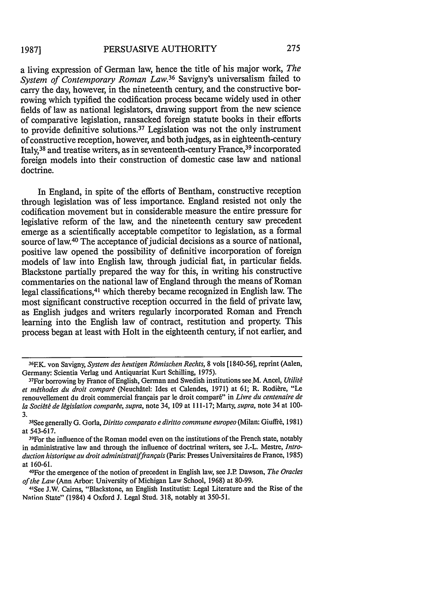a living expression of German law, hence the title of his major work, *The System of Contemporary Roman Law.36* Savigny's universalism failed to carry the day, however, in the nineteenth century, and the constructive borrowing which typified the codification process became widely used in other fields of law as national legislators, drawing support from the new science of comparative legislation, ransacked foreign statute books in their efforts to provide definitive solutions.<sup>37</sup> Legislation was not the only instrument of constructive reception, however, and both judges, as in eighteenth-century Italy,38 and treatise writers, as in seventeenth-century France, 39 incorporated foreign models into their construction of domestic case law and national doctrine.

In England, in spite of the efforts of Bentham, constructive reception through legislation was of less importance. England resisted not only the codification movement but in considerable measure the entire pressure for legislative reform of the law, and the nineteenth century saw precedent emerge as a scientifically acceptable competitor to legislation, as a formal source of law.<sup>40</sup> The acceptance of judicial decisions as a source of national, positive law opened the possibility of definitive incorporation of foreign models of law into English law, through judicial fiat, in particular fields. Blackstone partially prepared the way for this, in writing his constructive commentaries on the national law of England through the means of Roman legal classifications,<sup>41</sup> which thereby became recognized in English law. The most significant constructive reception occurred in the field of private law, as English judges and writers regularly incorporated Roman and French learning into the English law of contract, restitution and property. This process began at least with Holt in the eighteenth century, if not earlier, and

4'See J.W. Cairns, "Blackstone, an English Institutist: Legal Literature and the Rise of the Nntinn State" (1984) 4 Oxford J. Legal Stud. 318, notably at 350-51.

<sup>36</sup>EK. von Savigny, *System des heutigen Rdmischen Rechts,* 8 vols [1840-56], reprint (Aalen, Germany: Scientia Verlag und Antiquariat Kurt Schilling, 1975).

<sup>&</sup>lt;sup>37</sup>For borrowing by France of English, German and Swedish institutions see M. Ancel, *Utilité* et méthodes du droit comparé (Neuchâtel: Ides et Calendes, 1971) at 61; R. Rodière, "Le renouvellement du droit commercial français par le droit comparé" in *Livre du centenaire de la Societe de legislation compar~e, supra,* note 34, 109 at **111-17;** Marty, *supra,* note 34 at 100-  $3<sub>1</sub>$ 

See generally G. Gorla, *Diritto comparato e diritto commune europeo* (Milan: Giuffr6, 1981) at 543-617.

<sup>&</sup>lt;sup>39</sup>For the influence of the Roman model even on the institutions of the French state, notably in administrative law and through the influence of doctrinal writers, see J.-L. Mestre, *Intro*duction historique au droit administratif français (Paris: Presses Universitaires de France, 1985) at 160-61. <sup>40</sup>

For the emergence of the notion of precedent in English law, see J.R Dawson, *The Oracles of the Law* (Ann Arbor. University of Michigan Law School, 1968) at 80-99.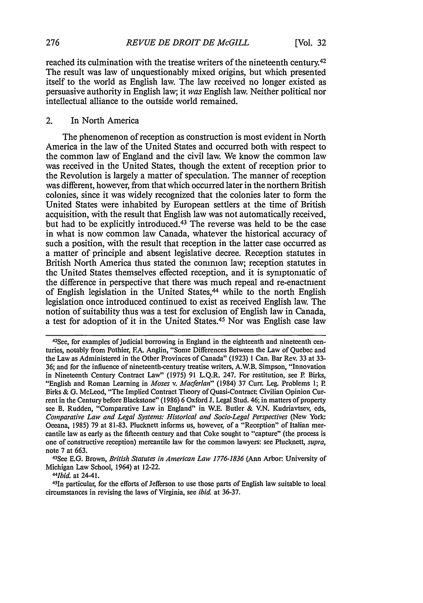reached its culmination with the treatise writers of the nineteenth century.42 The result was law of unquestionably mixed origins, but which presented itself to the world as English law. The law received no longer existed as persuasive authority in English law; it was English law. Neither political nor intellectual alliance to the outside world remained.

### 2. In North America

The phenomenon of reception as construction is most evident in North America in the law of the United States and occurred both with respect to the common law of England and the civil law. We know the common law was received in the United States, though the extent of reception prior to the Revolution is largely a matter of speculation. The manner of reception was different, however, from that which occurred later in the northern British colonies, since it was widely recognized that the colonies later to form the United States were inhabited by European settlers at the time of British acquisition, with the result that English law was not automatically received, but had to be explicitly introduced. 43 The reverse was held to be the case in what is now common law Canada, whatever the historical accuracy of such a position, with the result that reception in the latter case occurred as a matter of principle and absent legislative decree. Reception statutes in British North America thus stated the common law; reception statutes in the United States themselves effected reception, and it is symptomatic of the difference in perspective that there was much repeal and re-enactment of English legislation in the United States, 44 while to the north English legislation once introduced continued to exist as received English law. The notion of suitability thus was a test for exclusion of English law in Canada, a test for adoption of it in the United States.<sup>45</sup> Nor was English case law

*44Ibid.* at 24-41.

<sup>&</sup>lt;sup>42</sup>See, for examples of judicial borrowing in England in the eighteenth and nineteenth centuries, notably from Pothier, **EA.** Anglin, "Some Differences Between the Law of Quebec and the Law as Administered in the Other Provinces of Canada" (1923) **1** Can. Bar Rev. 33 at 33- 36; and for the influence of nineteenth-century treatise writers, A.W.B. Simpson, "Innovation in Nineteenth Century Contract Law" (1975) 91 L.Q.R. 247. For restitution, see P Birks, "English and Roman Learning in *Moses v. Macferlan"* (1984) 37 Curr. Leg. Problems **1;** P Birks & **G.** McLeod, "The Implied Contract Theory of Quasi-Contract: Civilian Opinion Current in the Century before Blackstone" (1986) 6 Oxford J. Legal Stud. 46; in matters of property see B. Rudden, "Comparative Law in England" in W.E. Butler & V.N. Kudriavtsev, eds, Comparative *Law and Legal Systems: Historical and Socio-Legal Perspectives* (New York: Oceana, 1985) 79 at 81-83. Plucknett informs us, however, of a "Reception" of Italian mercantile law as early as the fifteenth century and that Coke sought to "capture" (the process is one of constructive reception) mercantile law for the common lawyers: see Plucknett, *supra,* note 7 at 663.

<sup>&</sup>lt;sup>43</sup>See E.G. Brown, *British Statutes in American Law 1776-1836 (Ann Arbor: University of* Michigan Law School, 1964) at 12-22.

<sup>45</sup> 1n particular, for the efforts of Jefferson to use those parts of English law suitable to local circumstances in revising the laws of Virginia, see *ibid.* at 36-37.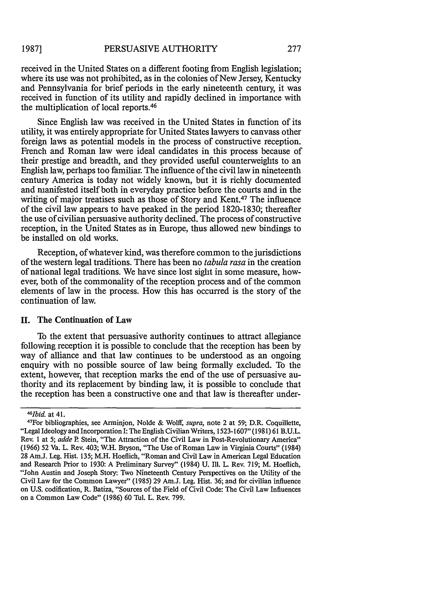received in the United States on a different footing from English legislation; where its use was not prohibited, as in the colonies of New Jersey, Kentucky and Pennsylvania for brief periods in the early nineteenth century, it was received in function of its utility and rapidly declined in importance with the multiplication of local reports.<sup>46</sup>

Since English law was received in the United States in function of its utility, it was entirely appropriate for United States lawyers to canvass other foreign laws as potential models in the process of constructive reception. French and Roman law were ideal candidates in this process because of their prestige and breadth, and they provided useful counterweights to an English law, perhaps too familiar. The influence of the civil law in nineteenth century America is today not widely known, but it is richly documented and manifested itself both in everyday practice before the courts and in the writing of major treatises such as those of Story and Kent.<sup>47</sup> The influence of the civil law appears to have peaked in the period 1820-1830; thereafter the use of civilian persuasive authority declined. The process of constructive reception, in the United States as in Europe, thus allowed new bindings to be installed on old works.

Reception, of whatever kind, was therefore common to the jurisdictions of the western legal traditions. There has been no *tabula rasa* in the creation of national legal traditions. We have since lost sight in some measure, however, both of the commonality of the reception process and of the common elements of law in the process. How this has occurred is the story of the continuation of law.

### **II.** The Continuation of Law

To the extent that persuasive authority continues to attract allegiance following reception it is possible to conclude that the reception has been by way of alliance and that law continues to be understood as an ongoing enquiry with no possible source of law being formally excluded. To the extent, however, that reception marks the end of the use of persuasive authority and its replacement by binding law, it is possible to conclude that the reception has been a constructive one and that law is thereafter under-

*<sup>46</sup> Ibid.* at 41.

<sup>4</sup> 7 For bibliographies, see Arminjon, Nolde & Wolff, *supra,* note 2 at 59; D.R. Coquillette, "Legal Ideology and Incorporation I: The English Civilian Writers, 1523-1607" (1981) 61 B.U.L. Rev. 1 at 5; *adde P. Stein*, "The Attraction of the Civil Law in Post-Revolutionary America" (1966) 52 Va. L. Rev. 403; W.H. Bryson, "The Use of Roman Law in Virginia Courts" (1984) 28 Am.J. Leg. Hist. 135; M.H. Hoeflich, "Roman and Civil Law in American Legal Education and Research Prior to 1930: A Preliminary Survey" (1984) U. Ill. L. Rev. 719; M. Hoeflich, "John Austin and Joseph Story: Two Nineteenth Century Perspectives on the Utility of the Civil Law for the Common Lawyer" (1985) 29 Am.J. Leg. Hist. 36; and for civilian influence on U.S. codification, R. Batiza, "Sources of the Field of Civil Code: The Civil Law Influences on a Common Law Code" (1986) 60 Tul. L. Rev. 799.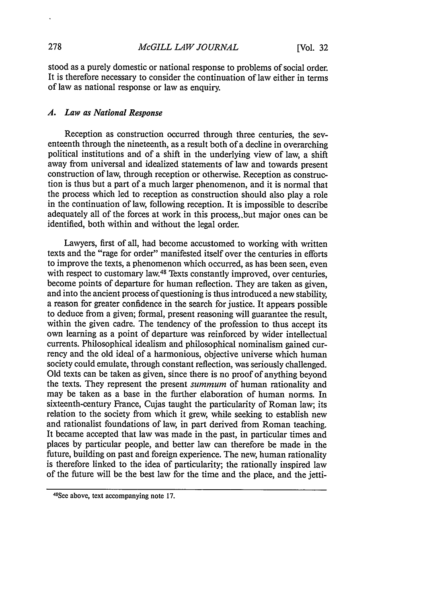stood as a purely domestic or national response to problems of social order. It is therefore necessary to consider the continuation of law either in terms of law as national response or law as enquiry.

### *A. Law as National Response*

Reception as construction occurred through three centuries, the seventeenth through the nineteenth, as a result both of a decline in overarching political institutions and of a shift in the underlying view of law, a shift away from universal and idealized statements of law and towards present construction of law, through reception or otherwise. Reception as construction is thus but a part of a much larger phenomenon, and it is normal that the process which led to reception as construction should also play a role in the continuation of law, following reception. It is impossible to describe adequately all of the forces at work in this process,,but major ones can be identified, both within and without the legal order.

Lawyers, first of all, had become accustomed to working with written texts and the "rage for order" manifested itself over the centuries in efforts to improve the texts, a phenomenon which occurred, as has been seen, even with respect to customary law.<sup>48</sup> Texts constantly improved, over centuries, become points of departure for human reflection. They are taken as given, and into the ancient process of questioning is thus introduced a new stability, a reason for greater confidence in the search for justice. It appears possible to deduce from a given; formal, present reasoning will guarantee the result, within the given cadre. The tendency of the profession to thus accept its own learning as a point of departure was reinforced by wider intellectual currents. Philosophical idealism and philosophical nominalism gained currency and the old ideal of a harmonious, objective universe which human society could emulate, through constant reflection, was seriously challenged. Old texts can be taken as given, since there is no proof of anything beyond the texts. They represent the present *summum* of human rationality and may be taken as a base in the further elaboration of human norms. In sixteenth-century France, Cujas taught the particularity of Roman law; its relation to the society from which it grew, while seeking to establish new and rationalist foundations of law, in part derived from Roman teaching. It became accepted that law was made in the past, in particular times and places by particular people, and better law can therefore be made in the future, building on past and foreign experience. The new, human rationality is therefore linked to the idea of particularity; the rationally inspired law of the future will be the best law for the time and the place, and the jetti-

<sup>48</sup> See above, text accompanying note 17.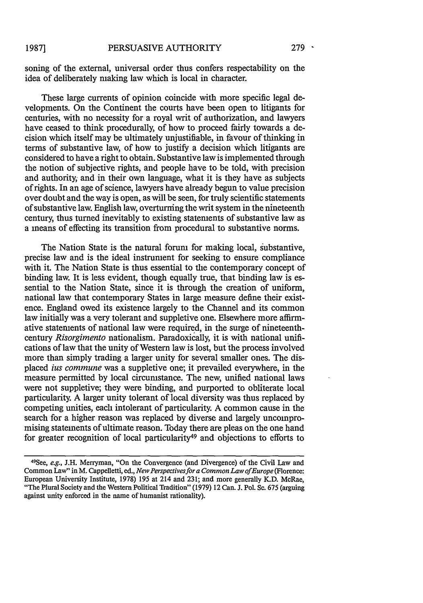soning of the external, universal order thus confers respectability on the idea of deliberately making law which is local in character.

These large currents of opinion coincide with more specific legal developments. On the Continent the courts have been open to litigants for centuries, with no necessity for a royal writ of authorization, and lawyers have ceased to think procedurally, of how to proceed fairly towards a decision which itself may be ultimately unjustifiable, in favour of thinking in terms of substantive law, of how to justify a decision which litigants are considered to have a right to obtain. Substantive law is implemented through the notion of subjective rights, and people have to be told, with precision and authority; and in their own language, what it is they have as subjects of rights. In an age of science, lawyers have already begun to value precision over doubt and the way is open, as will be seen, for truly scientific statements of substantive law. English law, overturning the writ system in the nineteenth century, thus turned inevitably to existing statements of substantive law as a means of effecting its transition from procedural to substantive norms.

The Nation State is the natural forum for making local, substantive, precise law and is the ideal instrument for seeking to ensure compliance with it. The Nation State is thus essential to the contemporary concept of binding law. It is less evident, though equally true, that binding law is essential to the Nation State, since it is through the creation of uniform, national law that contemporary States in large measure define their existence. England owed its existence largely to the Channel and its common law initially was a very tolerant and suppletive one. Elsewhere more affirmative statements of national law were required, in the surge of nineteenthcentury *Risorgimento* nationalism. Paradoxically, it is with national unifications of law that the unity of Western law is lost, but the process involved more than simply trading a larger unity for several smaller ones. The displaced *ius commune* was a suppletive one; it prevailed everywhere, in the measure permitted by local circumstance. The new, unified national laws were not suppletive; they were binding, and purported to obliterate local particularity. A larger unity tolerant of local diversity was thus replaced by competing unities, each intolerant of particularity. A common cause in the search for a higher reason was replaced by diverse and largely uncompromising statements of ultimate reason. Today there are pleas on the one hand for greater recognition of local particularity<sup>49</sup> and objections to efforts to

<sup>49</sup> See, e.g., J.H. Merryman, "On the Convergence (and Divergence) of the Civil Law and Common Law" in M. Cappelletti, ed., *New Perspectives for a Common Law of Europe* (Florence: European University Institute, 1978) 195 at 214 and 231; and more generally K.D. McRae, "The Plural Society and the Western Political Tradition" (1979) 12 Can. J. Pol. Sc. 675 (arguing against unity enforced in the name of humanist rationality).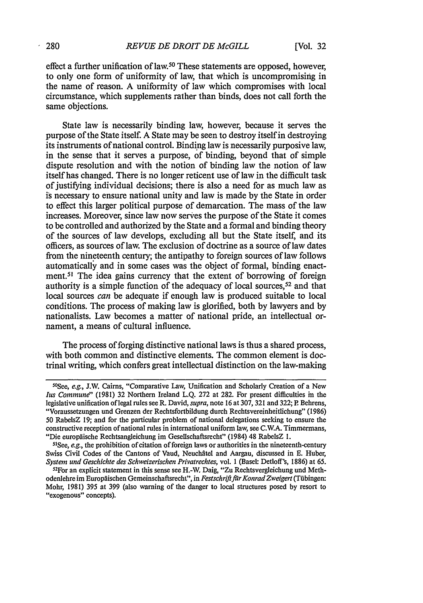effect a further unification of law.50 These statements are opposed, however, to only one form of uniformity of law, that which is uncompromising in the name of reason. A uniformity of law which compromises with local circumstance, which supplements rather than binds, does not call forth the same objections.

State law is necessarily binding law, however, because it serves the purpose of the State itself. A State may be seen to destroy itself in destroying its instruments of national control. Binding law is necessarily purposive law, in the sense that it serves a purpose, of binding, beyond that of simple dispute resolution and with the notion of binding law the notion of law itself has changed. There is no longer reticent use of law in the difficult task of justifying individual decisions; there is also a need for as much law as i's necessary to ensure national unity and law is made by the State in order to effect this larger political purpose of demarcation. The mass of the law increases. Moreover, since law now serves the purpose of the State it comes to be controlled and authorized by the State and a formal and binding theory of the sources of law develops, excluding all but the State itself, and its officers, as sources of law. The exclusion of doctrine as a source of law dates from the nineteenth century; the antipathy to foreign sources of law follows automatically and in some cases was the object of formal, binding enactment.5' The idea gains currency that the extent of borrowing of foreign authority is a simple function of the adequacy of local sources,  $52$  and that local sources *can* be adequate if enough law is produced suitable to local conditions. The process of making law is glorified, both by lawyers and by nationalists. Law becomes a matter of national pride, an intellectual ornament, a means of cultural influence.

The process of forging distinctive national laws is thus a shared process, with both common and distinctive elements. The common element is doctrinal writing, which confers great intellectual distinction on the law-making

<sup>50</sup> See, *e.g.,* **J.W.** Cairns, "Comparative Law, Unification and Scholarly Creation of a New *lus Commune"* (1981) 32 Northern Ireland L.Q. 272 at 282. For present difficulties in the legislative unification of legal rules see R. David, *supra,* note 16 at 307, 321 and 322; P Behrens, "Voraussetzungen und Grenzen der Rechtsfortbildung durch Rechtsvereinheitlichung" (1986) 50 RabelsZ 19; and for the particular problem of national delegations seeking to ensure the constructive reception of national rules in international uniform law, see C.W.A. Timmermans, "Die europäische Rechtsangleichung im Gesellschaftsrecht" (1984) 48 RabelsZ 1.

<sup>&</sup>lt;sup>51</sup>See, *e.g.*, the prohibition of citation of foreign laws or authorities in the nineteenth-century Swiss Civil Codes of the Cantons of Vaud, Neuchfitel and Aargau, discussed in **E.** Huber, *System und Geschichte des Schweizerischen Privatrechtes,* vol. 1 (Basel: Detloff's, 1886) at 65.

<sup>52</sup> For an explicit statement in this sense see H.-W. Daig, "Zu Rechtsvergleichung und Methodenlebre im Europaischen Gemeinschaftsrecht", in *Festschrif/ftrKonradZweigert* (Tfibingen: Mohr, 1981) 395 at 399 (also warning of the danger to local structures posed by resort to "exogenous" concepts).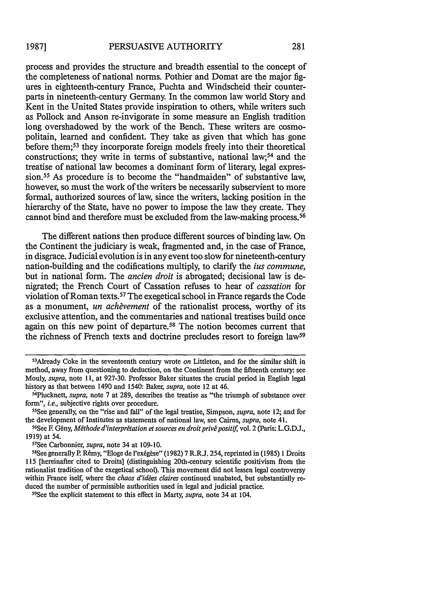process and provides the structure and breadth essential to the concept of the completeness of national norms. Pothier and Domat are the major figures in eighteenth-century France, Puchta and Windscheid their counterparts in nineteenth-century Germany. In the common law world Story and Kent in the United States provide inspiration to others, while writers such as Pollock and Anson re-invigorate in some measure an English tradition long overshadowed by the work of the Bench. These writers are cosmopolitain, learned and confident. They take as given that which has gone before them; 53 they incorporate foreign models freely into their theoretical constructions; they write in terms of substantive, national law;<sup>54</sup> and the treatise of national law becomes a dominant form of literary, legal expression.<sup>55</sup> As procedure is to become the "handmaiden" of substantive law, however, so must the work of the writers be necessarily subservient to more formal, authorized sources of law, since the writers, lacking position in the hierarchy of the State, have no power to impose the law they create. They cannot bind and therefore must be excluded from the law-making process.<sup>56</sup>

The different nations then produce different sources of binding law. On the Continent the judiciary is weak, fragmented and, in the case of France, in disgrace. Judicial evolution is in any event too slow for nineteenth-century nation-building and the codifications multiply, to clarify the *ius commune,* but in national form. The *ancien droit* is abrogated; decisional law is denigrated; the French Court of Cassation refuses to hear of *cassation* for violation of Roman texts.57 The exegetical school in France regards the Code as a monument, *un achèvement* of the rationalist process, worthy of its exclusive attention, and the commentaries and national treatises build once again on this new point of departure.<sup>58</sup> The notion becomes current that the richness of French texts and doctrine precludes resort to foreign law<sup>59</sup>

<sup>53</sup> Already Coke in the seventeenth century wrote *on* Littleton, and for the similar shift in method, away from questioning to deduction, on the Continent from the fifteenth century: see Mouly, *supra,* note **11,** at 927-30. Professor Baker situates the crucial period in English legal history as that between 1490 and 1540: Baker, *supra,* note 12 at 46.

<sup>&</sup>lt;sup>54</sup>Plucknett, *supra*, note 7 at 289, describes the treatise as "the triumph of substance over form", *i.e.*, subjective rights over procedure.

See generally, on the "rise and fall" of the legal treatise, Simpson, *supra,* note 12; and for the development of Institutes as statements of national law, see Cairns, *supra,* note 41. 56

<sup>&</sup>lt;sup>56</sup>See F. Gény, *Méthode d'interprétation et sources en droit privé positif*, vol. 2 (Paris: L.G.D.J., 1919) at 54.

<sup>&</sup>lt;sup>57</sup>See Carbonnier, *supra*, note 34 at 109-10.

<sup>&</sup>lt;sup>58</sup>See generally P. Rémy, "Eloge de l'exégèse" (1982) 7 R.R.J. 254, reprinted in (1985) 1 Droits 115 [hereinafter cited to Droits] (distinguishing 20th-century scientific positivism from the rationalist tradition of the exegetical school). This movement did not lessen legal controversy within France iself, where the *chaos d'ides claires* continued unabated, but substantially reduced the number of permissible authorities used in legal and judicial practice.

See the explicit statement to this effect in Marty, *supra,* note 34 at 104.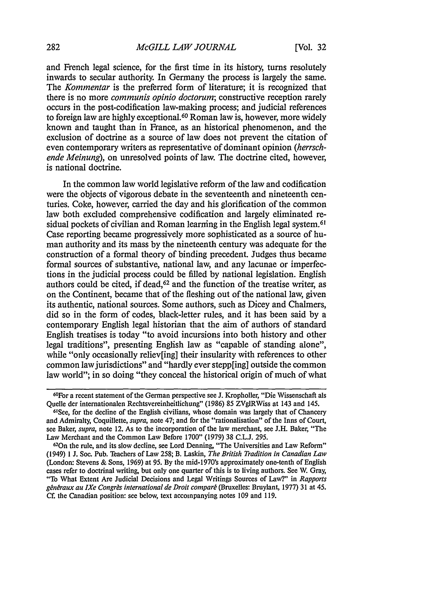and French legal science, for the first time in its history, turns resolutely inwards to secular authority. In Germany the process is largely the same. The *Kommentar* is the preferred form of literature; it is recognized that there is no more *communis opinio doctorum;* constructive reception rarely occurs in the post-codification law-making process; and judicial references to foreign law are highly exceptional. 60 Roman law is, however, more widely known and taught than in France, as an historical phenomenon, and the exclusion of doctrine as a source of law does not prevent the citation of even contemporary writers as representative of dominant opinion *(herrschende Meinung),* on unresolved points of law. The doctrine cited, however, is national doctrine.

In the common law world legislative reform of the law and codification were the objects of vigorous debate in the seventeenth and nineteenth centuries. Coke, however, carried the day and his glorification of the common law both excluded comprehensive codification and largely eliminated residual pockets of civilian and Roman learning in the English legal system.<sup>61</sup> Case reporting became progressively more sophisticated as a source of human authority and its mass by the nineteenth century was adequate for the construction of a formal theory of binding precedent. Judges thus became formal sources of substantive, national law, and any lacunae or imperfections in the judicial process could be filled by national legislation. English authors could be cited, if dead,<sup>62</sup> and the function of the treatise writer, as on the Continent, became that of the fleshing out of the national law, given its authentic, national sources. Some authors, such as Dicey and Chalmers, did so in the form of codes, black-letter rules, and it has been said by a contemporary English legal historian that the aim of authors of standard English treatises is today "to avoid incursions into both history and other legal traditions", presenting English law as "capable of standing alone", while "only occasionally reliev[ing] their insularity with references to other common law jurisdictions" and "hardly ever stepp[ing] outside the common law world"; in so doing "they conceal the historical origin of much of what

<sup>6°</sup>For a recent statement of the German perspective see J. Kropholler, "Die Wissenschaft als Quelle der internationalen Rechtsvereinheitlichung" (1986) 85 ZVglRWiss at 143 and 145.

See, for the decline of the English civilians, whose domain was largely that of Chancery and Admiralty, Coquillette, *supra,* note 47; and for the "rationalisation" of the Inns of Court, see Baker, *supra,* note 12. As to the incorporation of the law merchant, see J.H. Baker, "The Law Merchant and the Common Law Before 1700" (1979) 38 C.L.J. 295.

<sup>62</sup> 0n the rule, and its slow decline, see Lord Denning, "The Universities and Law Reform" (1949) 1 J. Soc. Pub. Teachers of Law 258; B. Laskin, *The British Tradition in Canadian Law* (London: Stevens & Sons, 1969) at 95. By the mid-1970's approximately one-tenth of English cases refer to doctrinal writing, but only one quarter of this is to living authors. See W. Gray, "To What Extent Are Judicial Decisions and Legal Writings Sources of Law?" in *Rapports* généraux au IXe Congrès international de Droit comparé (Bruxelles: Bruylant, 1977) 31 at 45. Cf. the Canadian position: see below, text accompanying notes 109 and 119.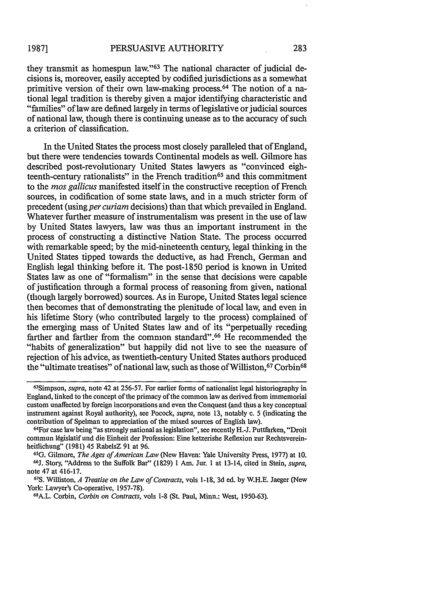they transmit as homespun law."63 The national character of judicial decisions is, moreover, easily accepted by codified jurisdictions as a somewhat primitive version of their own law-making process.<sup>64</sup> The notion of a national legal tradition is thereby given a major identifying characteristic and "families" of law are defined largely in terms of legislative or judicial sources of national law, though there is continuing unease as to the accuracy of such a criterion of classification.

In the United States the process most closely paralleled that of England, but there were tendencies towards Continental models as well. Gilmore has described post-revolutionary United States lawyers as "convinced eighteenth-century rationalists" in the French tradition<sup>65</sup> and this commitment to the *mos gallicus* manifested itself in the constructive reception of French sources, in codification of some state laws, and in a much stricter form of precedent (using *per curiam* decisions) than that which prevailed in England. Whatever further measure of instrumentalism was present in the use of law by United States lawyers, law was thus an important instrument in the process of constructing a distinctive Nation State. The process occurred with remarkable speed; by the mid-nineteenth century, legal thinking in the United States tipped towards the deductive, as had French, German and English legal thinking before it. The post-1850 period is known in United States law as one of "formalism" in the sense that decisions were capable of justification through a formal process of reasoning from given, national (though largely borrowed) sources. As in Europe, United States legal science then becomes that of demonstrating the plenitude of local law, and even in his lifetime Story (who contributed largely to the process) complained of the emerging mass of United States law and of its "perpetually receding farther and farther from the common standard". 66 He recommended the "habits of generalization" but happily did not live to see the measure of rejection of his advice, as twentieth-century United States authors produced the "ultimate treatises" of national law, such as those of Williston, <sup>67</sup> Corbin<sup>68</sup>

<sup>&</sup>lt;sup>63</sup>Simpson, *supra*, note 42 at 256-57. For earlier forms of nationalist legal historiography in England, linked to the concept of the primacy of the common law as derived from immemorial custom unaffected by foreign incorporations and even the Conquest (and thus a key conceptual instrument against Royal authority), see Pocock, *supra,* note 13, notably c. 5 (indicating the contribution of Spelman to appreciation of the mixed sources of English law).

<sup>&</sup>lt;sup>64</sup> For case law being "as strongly national as legislation", see recently H.-J. Puttfarken, "Droit commun l6gislatif und die Einheit der Profession: Eine ketzerishe Reflexion zur Rechtsvereinheitlichung" (1981) 45 RabelsZ 91 at 96. **<sup>65</sup>**

**G. Gilmore,** *The Ages of American Law* (New Haven: Yale University Press, 1977) at 10. <sup>66</sup>J. Story, "Address to the Suffolk Bar" (1829) 1 Am. Jur. 1 at 13-14, cited in Stein, *supra*, note 47 at 416-17.

**<sup>67</sup>S.** Williston, *A Treatise on the Law of Contracts,* vols 1-18, 3d ed. by W.H.E. Jaeger (New York: Lawyer's Co-operative, 1957-78).

A.L. Corbin, *Corbin on Contracts,* vols 1-8 (St. Paul, Minn.: West, 1950-63).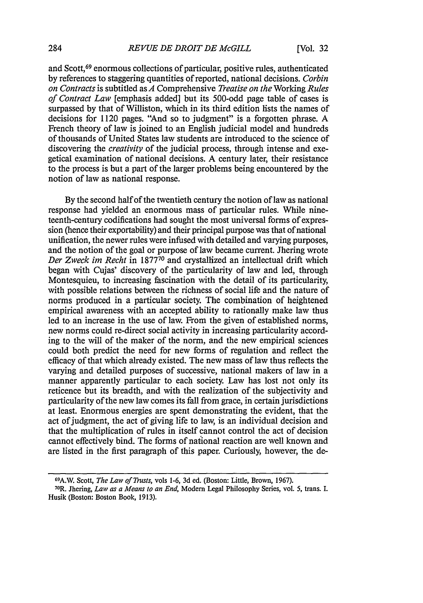and Scott,69 enormous collections of particular, positive rules, authenticated by references to staggering quantities of reported, national decisions. *Corbin on Contracts* is subtitled as *A* Comprehensive *Treatise on the* Working *Rules of Contract Law* [emphasis added] but its 500-odd page table of cases is surpassed by that of Williston, which in its third edition lists the names of decisions for 1120 pages. "And so to judgment" is a forgotten phrase. A French theory of law is joined to an English judicial model and hundreds of thousands of United States law students are introduced to the science of discovering the *creativity* of the judicial process, through intense and exegetical examination of national decisions. A century later, their resistance to the process is but a part of the larger problems being encountered by the notion of law as national response.

By the second half of the twentieth century the notion of law as national response had yielded an enormous mass of particular rules. While nineteenth-century codifications had sought the most universal forms of expression (hence their exportability) and their principal purpose was that of national unification, the newer rules were infused with detailed and varying purposes, and the notion of the goal or purpose of law became current. Jhering wrote *Der Zweck im Recht* in 187770 and crystallized an intellectual drift which began with Cujas' discovery of the particularity of law and led, through Montesquieu, to increasing fascination with the detail of its particularity, with possible relations between the richness of social life and the nature of norms produced in a particular society. The combination of heightened empirical awareness with an accepted ability to rationally make law thus led to an increase in the use of law. From the given of established norms, new norms could re-direct social activity in increasing particularity according to the will of the maker of the norm, and the new empirical sciences could both predict the need for new forms of regulation and reflect the efficacy of that which already existed. The new mass of law thus reflects the varying and detailed purposes of successive, national makers of law in a manner apparently particular to each society. Law has lost not only its reticence but its breadth, and with the realization of the subjectivity and particularity of the new law comes its fall from grace, in certain jurisdictions at least. Enormous energies are spent demonstrating the evident, that the act of judgment, the act of giving life to law, is an individual decision and that the multiplication of rules in itself cannot control the act of decision cannot effectively bind. The forms of national reaction are well known and are listed in the first paragraph of this paper. Curiously, however, the de-

**<sup>69</sup> A.V.** Scott, *The Law of Trusts,* vols 1-6, 3d ed. (Boston: Little, Brown, 1967). 70

<sup>&</sup>lt;sup>70</sup>R. Jhering, *Law as a Means to an End*, Modern Legal Philosophy Series, vol. 5, trans. I. Husik (Boston: Boston Book, **1913).**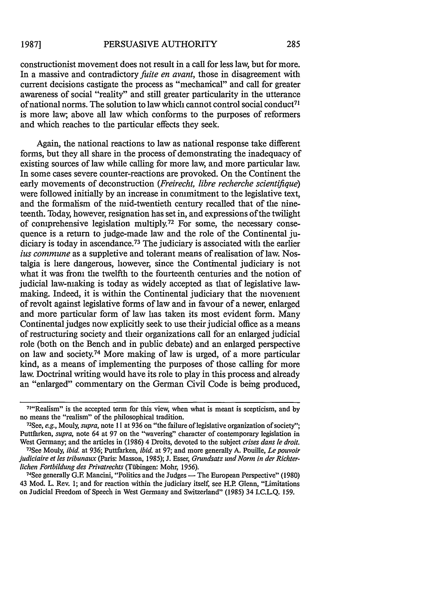constructionist movement does not result in a call for less law, but for more. In a massive and contradictory *fuite en avant,* those in disagreement with current decisions castigate the process as "mechanical" and call for greater awareness of social "reality" and still greater particularity in the utterance of national norms. The solution to law which cannot control social conduct<sup>7</sup> is more law; above all law which conforms to the purposes of reformers and which reaches to the particular effects they seek.

Again, the national reactions to law as national response take different forms, but they all share in the process of demonstrating the inadequacy of existing sources of law while calling for more law, and more particular law. In some cases severe counter-reactions are provoked. On the Continent the early movements of deconstruction *(Freirecht, libre recherche scientifique)* were followed initially by an increase in commitment to the legislative text, and the formalism of the mid-twentieth century recalled that of the nineteenth. Today, however, resignation has set in, and expressions of the twilight of comprehensive legislation multiply.72 For some, the necessary consequence is a return to judge-made law and the role of the Continental judiciary is today in ascendance.<sup>73</sup> The judiciary is associated with the earlier *ius commune* as a suppletive and tolerant means of realisation of law. Nostalgia is here dangerous, however, since the Continental judiciary is not what it was from the twelfth to the fourteenth centuries and the notion of judicial law-making is today as widely accepted as that of legislative lawmaking. Indeed, it is within the Continental judiciary that the movement of revolt against legislative forms of law and in favour of a newer, enlarged and more particular form of law has taken its most evident form. Many Continental judges now explicitly seek to use their judicial office as a means of restructuring society and their organizations call for an enlarged judicial role (both on the Bench and in public debate) and an enlarged perspective on law and society.74 More making of law is urged, of a more particular kind, as a means of implementing the purposes of those calling for more law. Doctrinal writing would have its role to play in this process and already an "enlarged" commentary on the German Civil Code is being produced,

<sup>&</sup>lt;sup>71</sup>"Realism" is the accepted term for this view, when what is meant is scepticism, and by no means the "realism" of the philosophical tradition.

<sup>72</sup> See, *e.g.,* Mouly, *supra,* note 11 at 936 on "the failure of legislative organization of society"; Puttfarken, *supra,* note 64 at 97 on the "wavering" character of contemporary legislation in West Germany; and the articles in (1986) 4 Droits, devoted to the subject *crises dans le droit.*

<sup>73</sup>See Mouly, *ibid.* at 936; Puttfarken, *ibid.* at 97; and more generally A. Pouille, *Le pouvoir judiciaire et les tribunaux* (Paris: Masson, 1985); J. Esser, *Grundsatz und Norm in der Richterlichen Fortbildung des Privatrechts* (Tfibingen: Mohr, 1956).

<sup>74</sup>See generally G.E Mancini, "Politics and the Judges **-** The European Perspective" (1980) 43 Mod. L. Rev. 1; and for reaction within the judiciary itself, see H.P. Glenn, "Limitations on Judicial Freedom of Speech in West Germany and Switzerland" (1985) 34 I.C.L.Q. 159.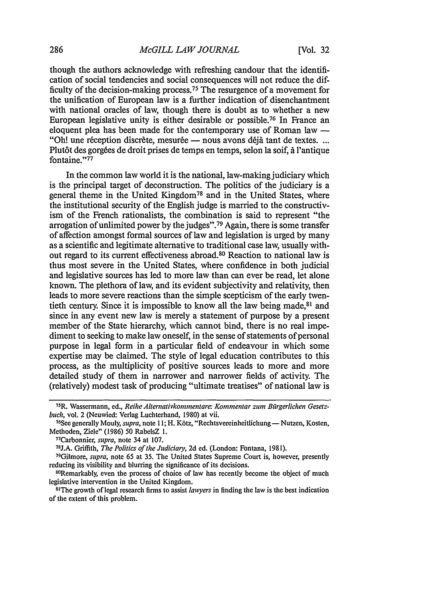though the authors acknowledge with refreshing candour that the identification of social tendencies and social consequences will not reduce the difficulty of the decision-making process. 75 The resurgence of a movement for the unification of European law is a further indication of disenchantment with national oracles of law, though there is doubt as to whether a new European legislative unity is either desirable or possible.76 In France an eloquent plea has been made for the contemporary use of Roman law  $-$ "Oh! une réception discrète, mesurée — nous avons déjà tant de textes. ... Plut6t des gorg6es de droit prises de temps en temps, selon la soif, **A** 'antique fontaine."<sup>77</sup>

In the common law world it is the national, law-making judiciary which is the principal target of deconstruction. The politics of the judiciary is a general theme in the United Kingdom<sup>78</sup> and in the United States, where the institutional security of the English judge is married to the constructivism of the French rationalists, the combination is said to represent "the arrogation of unlimited power by the judges". 79 Again, there is some transfer of affection amongst formal sources of law and legislation is urged by many as a scientific and legitimate alternative to traditional case law, usually without regard to its current effectiveness abroad. 80 Reaction to national law is thus most severe in the United States, where confidence in both judicial and legislative sources has led to more law than can ever be read, let alone known. The plethora of law, and its evident subjectivity and relativity, then leads to more severe reactions than the simple scepticism of the early twentieth century. Since it is impossible to know all the law being made,<sup>81</sup> and since in any event new law is merely a statement of purpose by a present member of the State hierarchy, which cannot bind, there is no real impediment to seeking to make law oneself, in the sense of statements of personal purpose in legal form in a particular field of endeavour in which some expertise may be claimed. The style of legal education contributes to this process, as the multiplicity of positive sources leads to more and more detailed study of them in narrower and narrower fields of activity. The (relatively) modest task of producing "ultimate treatises" of national law is

<sup>75</sup>R. Wassermann, ed., *Reihe Alternativkommnentare: Kommentar zum Bfirgerlichen Gesetzbuch*, vol. 2 (Neuwied: Verlag Luchterhand, 1980) at vii.

<sup>&</sup>lt;sup>76</sup>See generally Mouly, *supra*, note 11; H. Kötz, "Rechtsvereinheitlichung — Nutzen, Kosten, Methoden, Ziele" (1986) 50 RabelsZ 1.

Carbonnier, *supra,* note 34 at 107.

<sup>&</sup>lt;sup>78</sup>J.A. Griffith, *The Politics of the Judiciary*, 2d ed. (London: Fontana, 1981).

Gilmore, *supra,* note 65 at 35. The United States Supreme Court is, however, presently reducing its visibility and blurring the significance of its decisions.

<sup>&</sup>lt;sup>80</sup>Remarkably, even the process of choice of law has recently become the object of much legislative intervention in the United Kingdom.

The growth of legal research firms to assist *lawyers* in finding the law is the best indication of the extent of this problem.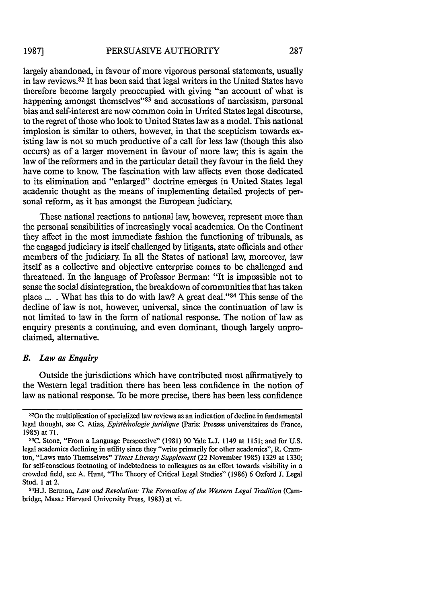largely abandoned, in favour of more vigorous personal statements, usually in law reviews.82 It has been said that legal writers in the United States have therefore become largely preoccupied with giving "an account of what is happening amongst themselves<sup> $33$ </sup> and accusations of narcissism, personal bias and self-interest are now common coin in United States legal discourse, to the regret of those who look to United States law as a model. This national implosion is similar to others, however, in that the scepticism towards existing law is not so much productive of a call for less law (though this also occurs) as of a larger movement in favour of more law; this is again the law of the reformers and in the particular detail they favour in the field they have come to know. The fascination with law affects even those dedicated to its elimination and "enlarged" doctrine emerges in United States legal academic thought as the means of implementing detailed projects of personal reform, as it has amongst the European judiciary.

These national reactions to national law, however, represent more than the personal sensibilities of increasingly vocal academics. On the Continent they affect in the most immediate fashion the functioning of tribunals, as the engaged judiciary is itself challenged by litigants, state officials and other members of the judiciary. In all the States of national law, moreover, law itself as a collective and objective enterprise comes to be challenged and threatened. In the language of Professor Berman: "It is impossible not to sense the social disintegration, the breakdown of communities that has taken place  $\dots$ . What has this to do with law? A great deal."<sup>84</sup> This sense of the decline of law is not, however, universal, since the continuation of law is not limited to law in the form of national response. The notion of law as enquiry presents a continuing, and even dominant, though largely unproclaimed, alternative.

### *B. Law as Enquiry*

Outside the jurisdictions which have contributed most affirmatively to the Western legal tradition there has been less confidence in the notion of law as national response. To be more precise, there has been less confidence

<sup>820</sup>n the multiplication of specialized law reviews as an indication of decline in fundamental legal thought, see C. Atias, *Epistémologie juridique* (Paris: Presses universitaires de France, **1985)** at **71.**

**<sup>83</sup>C.** Stone, "From a Language Perspective" **(1981) 90** Yale **L.J.** 1149 at **1151;** and for **U.S.** legal academics declining in utility since they "write primarily for other academics", R. Cramton, "Laws unto Themselves" *Times Literary Supplement* (22 November **1985) 1329** at **1330;** for self-conscious footnoting of indebtedness to colleagues as an effort towards visibility in a crowded field, see **A.** Hunt, "The Theory of Critical Legal Studies" **(1986)** 6 Oxford **J.** Legal Stud. **1** at 2. **84H.J.** Berman, *Law and Revolution: The Formation of the Western Legal Tradition* (Cam-

bridge, Mass.: Harvard University Press, **1983)** at vi.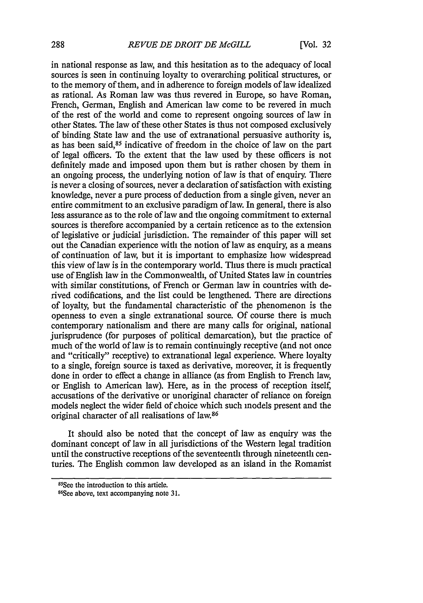in national response as law, and this hesitation as to the adequacy of local sources is seen in continuing loyalty to overarching political structures, or to the memory of them, and in adherence to foreign models of law idealized as rational. As Roman law was thus revered in Europe, so have Roman, French, German, English and American law come to be revered in much of the rest of the world and come to represent ongoing sources of law in other States. The law of these other States is thus not composed exclusively of binding State law and the use of extranational persuasive authority is, as has been said, 85 indicative of freedom in the choice of law on the part of legal officers. To the extent that the law used by these officers is not definitely made and imposed upon them but is rather chosen by them in an ongoing process, the underlying notion of law is that of enquiry. There is never a closing of sources, never a declaration of satisfaction with existing knowledge, never a pure process of deduction from a single given, never an entire commitment to an exclusive paradigm of law. In general, there is also less assurance as to the role of law and the ongoing commitment to external sources is therefore accompanied by a certain reticence as to the extension of legislative or judicial jurisdiction. The remainder of this paper will set out the Canadian experience with the notion of law as enquiry, as a means of continuation of law, but it is important to emphasize how widespread this view of law is in the contemporary world. Thus there is much practical use of English law in the Commonwealth, of United States law in countries with similar constitutions, of French or German law in countries with derived codifications, and the list could be lengthened. There are directions of loyalty, but the fundamental characteristic of the phenomenon is the openness to even a single extranational source. Of course there is much contemporary nationalism and there are many calls for original, national jurisprudence (for purposes of political demarcation), but the practice of much of the world of law is to remain continuingly receptive (and not once and "critically" receptive) to extranational legal experience. Where loyalty to a single, foreign source is taxed as derivative, moreover, it is frequently done in order to effect a change in alliance (as from English to French law, or English to American law). Here, as in the process of reception itself, accusations of the derivative or unoriginal character of reliance on foreign models neglect the wider field of choice which such models present and the original character of all realisations of law.<sup>86</sup>

It should also be noted that the concept of law as enquiry was the dominant concept of law in all jurisdictions of the Western legal tradition until the constructive receptions of the seventeenth through nineteenth centuries. The English common law developed as an island in the Romanist

<sup>85</sup> See the introduction to this article.

<sup>86</sup> See above, text accompanying note **31.**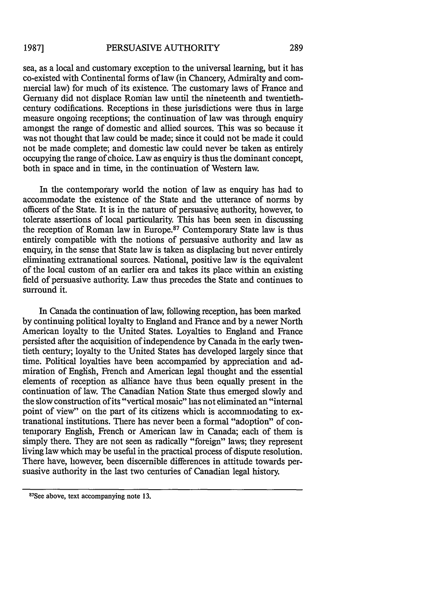sea, as a local and customary exception to the universal learning, but it has co-existed with Continental forms of law (in Chancery, Admiralty and commercial law) for much of its existence. The customary laws of France and Germany did not displace Roman law until the nineteenth and twentiethcentury codifications. Receptions in these jurisdictions were thus in large measure ongoing receptions; the continuation of law was through enquiry amongst the range of domestic and allied sources. This was so because it was not thought that law could be made; since it could not be made it could not be made complete; and domestic law could never be taken as entirely occupying the range of choice. Law as enquiry is thus the dominant concept, both in space and in time, in the continuation of Western law.

In the contemporary world the notion of law as enquiry has had to accommodate the existence of the State and the utterance of norms by officers of the State. It is in the nature of persuasive authority, however, to tolerate assertions of local particularity. This has been seen in discussing the reception of Roman law in Europe.<sup>87</sup> Contemporary State law is thus entirely compatible with the notions of persuasive authority and law as enquiry, in the sense that State law is taken as displacing but never entirely eliminating extranational sources. National, positive law is the equivalent of the local custom of an earlier era and takes its place within an existing field of persuasive authority. Law thus precedes the State and continues to surround it.

In Canada the continuation of law, following reception, has been marked by continuing political loyalty to England and France and by a newer North American loyalty to the United States. Loyalties to England and France persisted after the acquisition of independence by Canada in the early twentieth century; loyalty to the United States has developed largely since that time. Political loyalties have been accompanied by appreciation and admiration of English, French and American legal thought and the essential elements of reception as alliance have thus been equally present in the continuation of law. The Canadian Nation State thus emerged slowly and the slow construction of its "vertical mosaic" has not eliminated an "internal point of view" on the part of its citizens which is accommodating to extranational institutions. There has never been a formal "adoption" of contemporary English, French or American law in Canada; each of them is simply there. They are not seen as radically "foreign" laws; they represent living law which may be useful in the practical process of dispute resolution. There have, however, been discernible differences in attitude towards persuasive authority in the last two centuries of Canadian legal history.

<sup>87</sup> See above, text accompanying note **13.**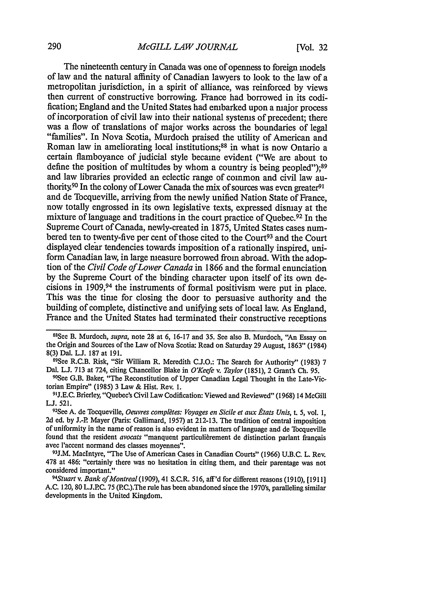The nineteenth century in Canada was one of openness to foreign models of law and the natural affinity of Canadian lawyers to look to the law of a metropolitan jurisdiction, in a spirit of alliance, was reinforced by views then current of constructive borrowing. France had borrowed in its codification; England and the United States had embarked upon a major process of incorporation of civil law into their national systems of precedent; there was a flow of translations of major works across the boundaries of legal "families". In Nova Scotia, Murdoch praised the utility of American and Roman law in ameliorating local institutions; 88 in what is now Ontario a certain flamboyance of judicial style became evident ("We are about to define the position of multitudes by whom a country is being peopled"); $89$ and law libraries provided an eclectic range of common and civil law authority.<sup>90</sup> In the colony of Lower Canada the mix of sources was even greater.<sup>91</sup> and de Tocqueville, arriving from the newly unified Nation State of France, now totally engrossed in its own legislative texts, expressed dismay at the mixture of language and traditions in the court practice of Quebec.<sup>92</sup> In the Supreme Court of Canada, newly-created in 1875, United States cases numbered ten to twenty-five per cent of those cited to the Court<sup>93</sup> and the Court displayed clear tendencies towards imposition of a rationally inspired, uniform Canadian law, in large measure borrowed from abroad. With the adoption of the *Civil Code of Lower Canada* in 1866 and the formal enunciation by the Supreme Court of the binding character upon itself of its own decisions in 1909,94 the instruments of formal positivism were put in place.

This was the time for closing the door to persuasive authority and the building of complete, distinctive and unifying sets of local law. As England, France and the United States had terminated their constructive receptions

88See B. Murdoch, supra, note 28 at 6, 16-17 and 35. See also B. Murdoch, "An Essay on the Origin and Sources of the Law of Nova Scotia: Read on Saturday 29 August, 1863" (1984) 8(3) Dal. L.J. 187 at 191.

89 See R.C.B. Risk, "Sir William R. Meredith C.J.O.: The Search for Authority" (1983) 7 Dal. L.J. 713 at 724, citing Chancellor Blake in *O'Keefe v. Taylor* (1851), 2 Grant's Ch. 95.

<sup>90</sup>See G.B. Baker, "The Reconstitution of Upper Canadian Legal Thought in the Late-Victorian Empire" (1985) 3 Law & Hist. Rev. 1.

91J.E.C. Brierley, "Quebec's Civil Law Codification: Viewed and Reviewed" (1968) 14 McGill  $L.J. 521.$ 

See A. de Tocqueville, *Oeuvres completes: Voyages en Sicile et aux Etats Unis,* t. 5, vol. **1,** 2d ed. **by** J.-P. Mayer (Paris: Gallimard, 1957) at 212-13. The tradition of central imposition of uniformity in the name of reason is also evident in matters of language and de Tocqueville found that the resident *avocats* "manquent particulièrement de distinction parlant français avec l'accent normand des classes moyennes".

**93J.M.** Maclntyre, "The Use of American Cases in Canadian Courts" (1966) U.B.C. L. Rev. 478 at 486: "certainly there was no hesitation in citing them, and their parentage was not considered important."

Stuart *v.* Bank *of Montreal* (1909), 41 S.C.R. 516, aff'd for different reasons (1910), [1911] A.C. 120, 80 L.J.P.C. 75 (PC.).The rule has been abandoned since the 1970's, paralleling similar developments in the United Kingdom.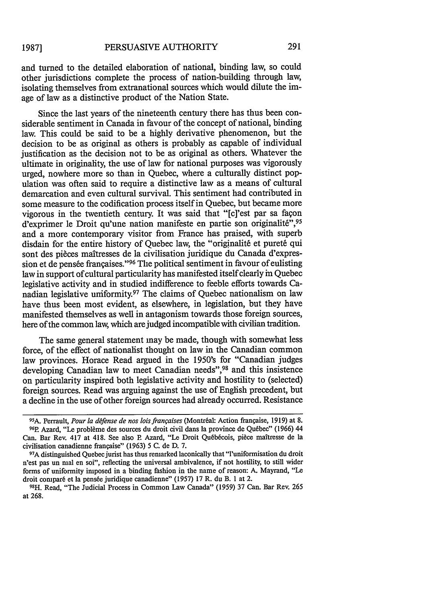and turned to the detailed elaboration of national, binding law, so could other jurisdictions complete the process of nation-building through law, isolating themselves from extranational sources which would dilute the image of law as a distinctive product of the Nation State.

Since the last years of the nineteenth century there has thus been considerable sentiment in Canada in favour of the concept of national, binding law. This could be said to be a highly derivative phenomenon, but the decision to be as original as others is probably as capable of individual justification as the decision not to be as original as others. Whatever the ultimate in originality, the use of law for national purposes was vigorously urged, nowhere more so than in Quebec, where a culturally distinct population was often said to require a distinctive law as a means of cultural demarcation and even cultural survival. This sentiment had contributed in some measure to the codification process itself in Quebec, but became more vigorous in the twentieth century. It was said that "[c]'est par sa façon d'exprimer le Droit qu'une nation manifeste en partie son originalité",95 and a more contemporary visitor from France has praised, with superb disdain for the entire history of Quebec law, the "originalité et pureté qui sont des pièces maîtresses de la civilisation juridique du Canada d'expression et de pensée françaises."<sup>96</sup> The political sentiment in favour of eulisting law in support of cultural particularity has manifested itself clearly in Quebec legislative activity and in studied indifference to feeble efforts towards Canadian legislative uniformity.97 The claims of Quebec nationalism on law have thus been most evident, as elsewhere, in legislation, but they have manifested themselves as well in antagonism towards those foreign sources, here of the common law, which are judged incompatible with civilian tradition.

The same general statement may be made, though with somewhat less force, of the effect of nationalist thought on law in the Canadian common law provinces. Horace Read argued in the 1950's for "Canadian judges developing Canadian law to meet Canadian needs", <sup>98</sup> and this insistence on particularity inspired both legislative activity and hostility to (selected) foreign sources. Read was arguing against the use of English precedent, but a decline in the use of other foreign sources had already occurred. Resistance

essa.<br><sup>95</sup> A. Perrault, *Pour la défense de nos lois françaises* (Montréal: Action française, 1919) at 8. <sup>96</sup>P. Azard, "Le problème des sources du droit civil dans la province de Québec" (1966) 44 Can. Bar Rev. 417 at 418. See also P. Azard, "Le Droit Québécois, pièce maîtresse de la civilisation canadienne frangaise" (1963) 5 C. de D. 7.

<sup>97</sup>A distinguished Quebec jurist has thus remarked laconically that "l'uniformisation du droit n'est pas un mal en soi", reflecting the universal ambivalence, if not hostility, to still wider forms of uniformity imposed in a binding fashion in the name of reason: A. Mayrand, "Le droit comparé et la pensée juridique canadienne" (1957) 17 R. du B. 1 at 2.

**<sup>98</sup>H.** Read, "The Judicial Process in Common Law Canada" (1959) 37 Can. Bar Rev. 265 at 268.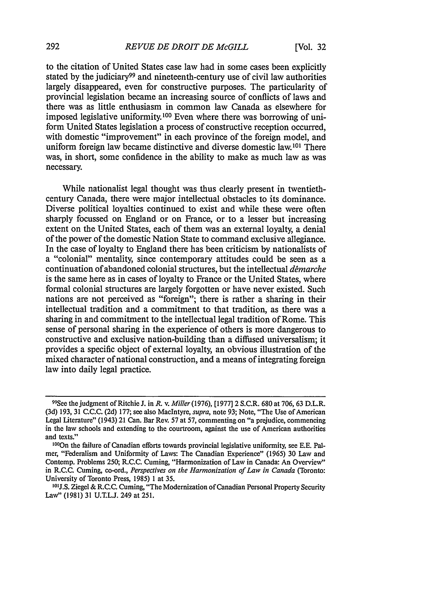to the citation of United States case law had in some cases been explicitly stated by the judiciary<sup>99</sup> and nineteenth-century use of civil law authorities largely disappeared, even for constructive purposes. The particularity of provincial legislation became an increasing source of conflicts of laws and there was as little enthusiasm in common law Canada as elsewhere for imposed legislative uniformity. 100 Even where there was borrowing of uniform United States legislation a process of constructive reception occurred, with domestic "improvement" in each province of the foreign model, and uniform foreign law became distinctive and diverse domestic law.10' There was, in short, some confidence in the ability to make as much law as was necessary.

While nationalist legal thought was thus clearly present in twentiethcentury Canada, there were major intellectual obstacles to its dominance. Diverse political loyalties continued to exist and while these were often sharply focussed on England or on France, or to a lesser but increasing extent on the United States, each of them was an external loyalty, a denial of the power of the domestic Nation State to command exclusive allegiance. In the case of loyalty to England there has been criticism by nationalists of a "colonial" mentality, since contemporary attitudes could be seen as a continuation of abandoned colonial structures, but the intellectual *dtmarche* is the same here as in cases of loyalty to France or the United States, where formal colonial structures are largely forgotten or have never existed. Such nations are not perceived as "foreign"; there is rather a sharing in their intellectual tradition and a commitment to that tradition, as there was a sharing in and commitment to the intellectual legal tradition of Rome. This sense of personal sharing in the experience of others is more dangerous to constructive and exclusive nation-building than a diffused universalism; it provides a specific object of external loyalty, an obvious illustration of the mixed character of national construction, and a means of integrating foreign law into daily legal practice.

<sup>99</sup>See the judgment of Ritchie J. in *R.* v. *Miller* (1976), [1977] 2 S.C.R. 680 at 706,63 D.L.R. (3d) 193, 31 C.C.C. (2d) 177; see also MacIntyre, *supra,* note 93; Note, "The Use of American Legal Literature" (1943) 21 Can. Bar Rev. 57 at 57, commenting on "a prejudice, commencing in the law schools and extending to the courtroom, against the use of American authorities and texts."

<sup>&#</sup>x27;0On the failure of Canadian efforts towards provincial legislative uniformity, see E.E. Palmer, "Federalism and Uniformity of Laws: The Canadian Experience" (1965) 30 Law and Contemp. Problems 250; R.C.C. Cuming, "Harmonization of Law in Canada: An Overview" in R.C.C. Cuming, co-ord., *Perspectives on the Harmonization of Law in Canada* (Toronto: University of Toronto Press, 1985) 1 at 35.

**<sup>10</sup>tJ.S.** Ziegel & R.C.C. Cuming, "The Modernization of Canadian Personal Property Security Law" (1981) 31 U.T.L.J. 249 at 251.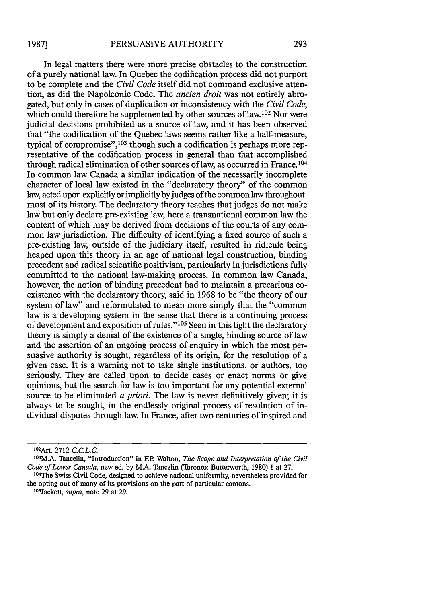In legal matters there were more precise obstacles to the construction of a purely national law. In Quebec the codification process did not purport to be complete and the *Civil Code* itself did not command exclusive attention, as did the Napoleonic Code. The *ancien droit* was not entirely abrogated, but only in cases of duplication or inconsistency with the *Civil' Code,* which could therefore be supplemented by other sources of law.<sup>102</sup> Nor were judicial decisions prohibited as a source of law, and it has been observed that "the codification of the Quebec laws seems rather like a half-measure, typical of compromise",<sup>103</sup> though such a codification is perhaps more representative of the codification process in general than that accomplished through radical elimination of other sources of law, as occurred in France.<sup>104</sup> In common law Canada a similar indication of the necessarily incomplete character of local law existed in the "declaratory theory" of the common law, acted upon explicitly or implicitly by judges of the common law throughout most of its history. The declaratory theory teaches that judges do not make law but only declare pre-existing law, here a transnational common law the content of which may be derived from decisions of the courts of any common law jurisdiction. The difficulty of identifying a fixed source of such a pre-existing law, outside of the judiciary itself, resulted in ridicule being heaped upon this theory in an age of national legal construction, binding precedent and radical scientific positivism, particularly in jurisdictions fully committed to the national law-making process. In common law Canada, however, the notion of binding precedent had to maintain a precarious coexistence with the declaratory theory, said in 1968 to be "the theory of our system of law" and reformulated to mean more simply that the "common law is a developing system in the sense that there is a continuing process of development and exposition of rules."105 Seen in this light the declaratory theory is simply a denial of the existence of a single, binding source of law and the assertion of an ongoing process of enquiry in which the most persuasive authority is sought, regardless of its origin, for the resolution of a given case. It is a warning not to take single institutions, or authors, too seriously. They are called upon to decide cases or enact norms or give opinions, but the search for law is too important for any potential external source to be eliminated *a priori.* The law is never definitively given; it is always to be sought, in the endlessly original process of resolution of individual disputes through law. In France, after two centuries of inspired and

<sup>1</sup> 02 Art. 2712 *C.C.LC.*

<sup>&#</sup>x27; 03 M.A. Tancelin, "Introduction" in EP Walton, *The Scope and Interpretation of* the *Civil Code of Lower Canada,* new ed. by M.A. Tancelin (Toronto: Butterworth, 1980) 1 at 27.

<sup>104</sup>The Swiss Civil Code, designed to achieve national uniformity, nevertheless provided for the opting out of many of its provisions on the part of particular cantons. 1 05 Jackett, *supra,* note 29 at 29.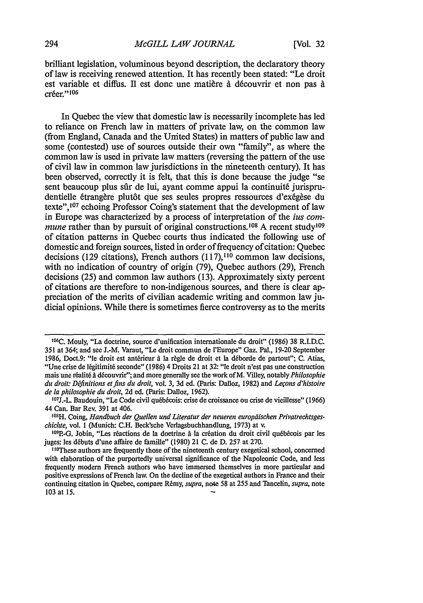brilliant legislation, voluminous beyond description, the declaratory theory of law is receiving renewed attention. It has recently been stated: "Le droit est variable et diffus. Il est donc une matière à découvrir et non pas à créer."<sup>106</sup>

In Quebec the view that domestic law is necessarily incomplete has led to reliance on French law in matters of private law, on the common law (from England, Canada and the United States) in matters of public law and some (contested) use of sources outside their own "family", as where the common law is used in private law matters (reversing the pattern of the use of civil law in common law jurisdictions in the nineteenth century). It has been observed, correctly it is felt, that this is done because the judge "se sent beaucoup plus sûr de lui, ayant comme appui la continuité jurisprudentielle étrangère plutôt que ses seules propres ressources d'exégèse du texte",<sup>107</sup> echoing Professor Coing's statement that the development of law in Europe was characterized **by** a process of interpretation of the *ius commune* rather than by pursuit of original constructions.<sup>108</sup> A recent study<sup>109</sup> of citation patterns in Quebec courts thus indicated the following use of domestic and foreign sources, listed in order of frequency of citation: Quebec decisions (129 citations), French authors (117),110 common law decisions, with no indication of country of origin (79), Quebec authors (29), French decisions (25) and common law authors (13). Approximately sixty percent of citations are therefore to non-indigenous sources, and there is clear appreciation of the merits of civilian academic writing and common law judicial opinions. While there is sometimes fierce controversy as to the merits

**<sup>106</sup>C.** Mouly, "La doctrine, source d'unification internationale du droit" (1986) 38 **R.I.D.C. 351** at 364; and see **J.-M.** Varaut, "Le droit commun de l'Europe" Gaz. Pal., 19-20 September 1986, Doct.9: "le droit est antérieur à la règle de droit et la déborde de partout"; C. Atias, "Une crise de légitimité seconde" (1986) 4 Droits 21 at 32: "le droit n'est pas une construction mais une réalité à découvrir"; and more generally see the work of M. Villey, notably *Philosophie du droit: D(finitions etfins du droit,* vol. 3, 3d ed. (Paris: Dalloz, 1982) and *Le~ons d'histoire de la philosophie du drolt,* 2d ed. (Paris: Dalloz, 1962). **<sup>07</sup>**

<sup>&</sup>lt;sup>107</sup>J.-L. Baudouin, "Le Code civil québécois: crise de croissance ou crise de vieillesse" (1966) 44 Can. Bar Rev. 391 at 406.

<sup>&</sup>lt;sup>108</sup>H. Coing, *Handbuch der Quellen und Literatur der neueren europäischen Privatrechtsges*chichte, vol. **1** (Munich: C.H. Beck'sche Verlagsbuchhandlung, 1973) at v. **<sup>09</sup>**

<sup>&</sup>lt;sup>109</sup>P.-G. Jobin, "Les réactions de la doetrine à la création du droit civil québécois par les juges: les debuts d'une affaire de famille" (1980) 21 C. de D. 257 at 270.

**<sup>11</sup>** These authors are frequently those of the nineteenth century exegetical school, concerned with elaboration of the purportedly universal significance of the Napoleonic Code, and less frequently modem French authors who have immersed themselves in more particular and positive expressions of French law. On the decline of the exegetical authors in France and their continuing citation in Quebec, compare Rémy, *supra*, note 58 at 255 and Tancelin, *supra*, note 103 at **15.**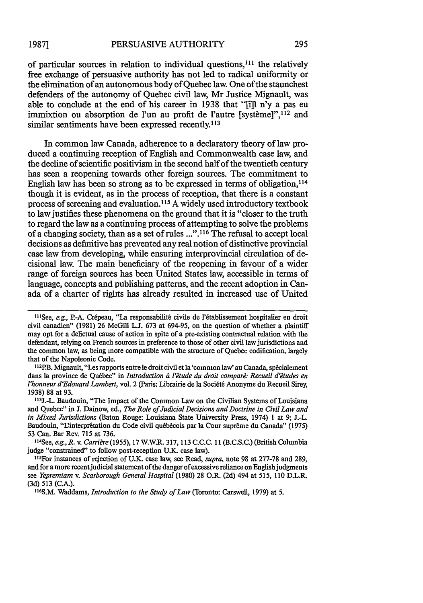of particular sources in relation to individual questions,<sup>111</sup> the relatively free exchange of persuasive authority has not led to radical uniformity or the elimination of an autonomous body of Quebec law. One of the staunchest defenders of the autonomy of Quebec civil law, Mr Justice Mignault, was able to conclude at the end of his career in 1938 that "[i]l n'y a pas eu immixtion ou absorption de l'un au profit de l'autre [système]", <sup>112</sup> and similar sentiments have been expressed recently.<sup>113</sup>

In common law Canada, adherence to a declaratory theory of law produced a continuing reception of English and Commonwealth case law, and the decline of scientific positivism in the second half of the twentieth century has seen a reopening towards other foreign sources. The commitment to English law has been so strong as to be expressed in terms of obligation,  $^{114}$ though it is evident, as in the process of reception, that there is a constant process of screening and evaluation." 5 A widely used introductory textbook to law justifies these phenomena on the ground that it is "closer to the truth to regard the law as a continuing process of attempting to solve the problems of a changing society, than as a set of rules ...".<sup>116</sup> The refusal to accept local decisions as definitive has prevented any real notion of distinctive provincial case law from developing, while ensuring interprovincial circulation of decisional law. The main beneficiary of the reopening in favour of a wider range of foreign sources has been United States law, accessible in terms of language, concepts and publishing patterns, and the recent adoption in Canada of a charter of rights has already resulted in increased use of United

e or the raportome code.<br><sup>12</sup>P.B. Mignault, "Les rapports entre le droit civil et la 'common law' au Canada, spécialement dans la province de Qu6bee" in *Introduction e l' tude du droit compare: Recueil d'ttudes en l'honneur d'Edouard Lambert, vol. 2 (Paris: Librairie de la Société Anonyme du Recueil Sirey,* 1938) 88 at 93.

<sup>113</sup>J.-L. Baudouin, "The Impact of the Conimon Law on the Civilian Systems of Louisiana and Quebec" in J. Dainow, ed., *The Role of Judicial Decisions and Doctrine in Civil Law and in Mixed Jurisdictions* (Baton Rouge: Louisiana State University Press, 1974) 1 at 9; J.-L. Baudouin, "L'interprétation du Code civil québécois par la Cour suprême du Canada" (1975) 53 Can. Bar Rev. 715 at 736.

" 4 See, *e.g., R. v. Carribre* (1955), 17 W.W.R. 317, 113 C.C.C. 11 (B.C.S.C.) (British Columbia judge "constrained" to follow post-reception U.K. case law).

For instances of rejection of U.K. case law, see Read, *supra,* note 98 at 277-78 and 289, and for a more recent judicial statement of the danger of excessive reliance on English judgments see *Yepremiam v. Scarborough General Hospital* (1980) 28 O.R. (2d) 494 at 515, 110 D.L.R. (3d) 513 (C.A.).

<sup>116</sup>S.M. Waddams, *Introduction to the Study of Law* (Toronto: Carswell, 1979) at 5.

<sup>&</sup>lt;sup>111</sup>See, e.g., P.-A. Crépeau, "La responsabilité civile de l'établissement hospitalier en droit civil canadien" (1981) 26 McGill L.J. 673 at 694-95, on the question of whether a plaintiff may opt for a delictual cause of action in spite of a pre-existing contractual relation with the defendant, relying on French sources in preference to those of other civil law jurisdictions and the common law, as being more compatible with the structure of Quebec codification, largely that of the Napoleonic Code.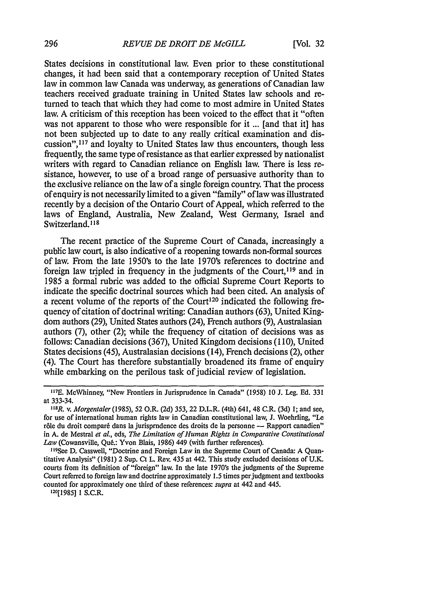States decisions in constitutional law. Even prior to these constitutional changes, it had been said that a contemporary reception of United States law in common law Canada was underway, as generations of Canadian law teachers received graduate training in United States law schools and returned to teach that which they had come to most admire in United States law. A criticism of this reception has been voiced to the effect that it "often was not apparent to those who were responsible for it ... [and that it] has not been subjected up to date to any really critical examination and discussion",<sup>117</sup> and loyalty to United States law thus encounters, though less frequently, the same type of resistance as that earlier expressed by nationalist writers with regard to Canadian reliance on English law. There is less resistance, however, to use of a broad range of persuasive authority than to the exclusive reliance on the law of a single foreign country. That the process of enquiry is not necessarily limited to a given "family" of law was illustrated recently by a decision of the Ontario Court of Appeal, which referred to the laws of England, Australia, New Zealand, West Germany, Israel and Switzerland. **<sup>118</sup>**

The recent practice of the Supreme Court of Canada, increasingly a public law court, is also indicative of a reopening towards non-formal sources of law. From the late 1950's to the late 1970's references to doctrine and foreign law tripled in frequency in the judgments of the Court,<sup>119</sup> and in 1985 a formal rubric was added to the official Supreme Court Reports to indicate the specific doctrinal sources which had been cited. An analysis of a recent volume of the reports of the Court<sup>120</sup> indicated the following frequency of citation of doctrinal writing: Canadian authors (63), United Kingdom authors (29), United States authors (24), French authors (9), Australasian authors (7), other (2); while the frequency of citation of decisions was as follows: Canadian decisions (367), United Kingdom decisions (110), United States decisions (45), Australasian decisions (14), French decisions (2), other (4). The Court has therefore substantially broadened its frame of enquiry while embarking on the perilous task of judicial review of legislation.

120(1985] 1 S.C.R.

**<sup>117</sup> E.** McWhinney, "New Frontiers in Jurisprudence in Canada" (1958) 10 J. Leg. Ed. 331 at 333-34.

*<sup>1</sup> 8R. v. Morgentaler (1985),* 52 O.R. (2d) 353, 22 D.L.R. (4th) 641, 48 C.R. (3d) 1; and see, for use of international human rights law in Canadian constitutional law, J. Woehrling, "Le rôle du droit comparé dans la jurisprudence des droits de la personne — Rapport canadien" in A. de Mestral *et al.,* eds, *The Limitation of Human Rights in Comparative Constitutional* Law (Cowansville, Qué.: Yvon Blais, 1986) 449 (with further references).

<sup>&</sup>lt;sup>119</sup>See D. Casswell, "Doctrine and Foreign Law in the Supreme Court of Canada: A Quantitative Analysis" (1981) 2 Sup. Ct L. Rev. 435 at 442. This study excluded decisions of U.K. courts from its definition of "foreign" law. In the late 1970's the judgments of the Supreme Court referred to foreign law and doctrine approximately *1.5* times per judgment and textbooks counted for approximately one third of these references: *supra* at 442 and 445.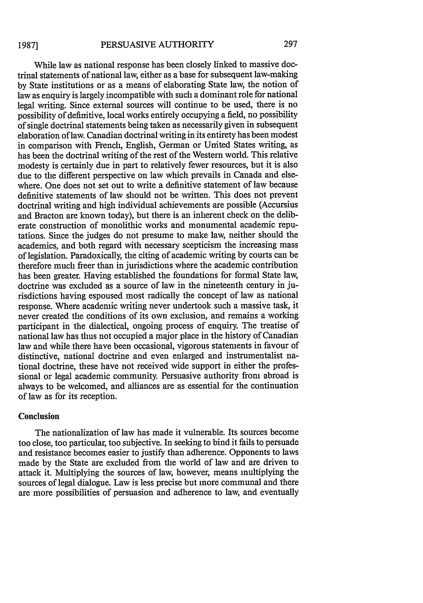While law as national response has been closely linked to massive doctrinal statements of national law, either as a base for subsequent law-making by State institutions or as a means of elaborating State law, the notion of law as enquiry is largely incompatible with such a dominant role for national legal writing. Since external sources will continue to be used, there is no possibility of definitive, local works entirely occupying a field, no possibility of single doctrinal statements being taken as necessarily given in subsequent elaboration of law. Canadian doctrinal writing in its entirety has been modest in comparison with French, English, German or United States writing, as has been the doctrinal writing of the rest of the Western world. This relative modesty is certainly due in part to relatively fewer resources, but it is also due to the different perspective on law which prevails in Canada and elsewhere. One does not set out to write a definitive statement of law because definitive statements of law should not be written. This does not prevent doctrinal writing and high individual achievements are possible (Accursius and Bracton are known today), but there is an inherent check on the deliberate construction of monolithic works and monumental academic reputations. Since the judges do not presume to make law, neither should the academics, and both regard with necessary scepticism the increasing mass of legislation. Paradoxically, the citing of academic writing by courts can be therefore much freer than in jurisdictions where the academic contribution has been greater. Having established the foundations for formal State law, doctrine was excluded as a source of law in the nineteenth century in jurisdictions having espoused most radically the concept of law as national response. Where academic writing never undertook such a massive task, it never created the conditions of its own exclusion, and remains a working participant in the dialectical, ongoing process of enquiry. The treatise of national law has thus not occupied a major place in the history of Canadian law and while there have been occasional, vigorous statements in favour of distinctive, national doctrine and even enlarged and instrumentalist national doctrine, these have not received wide support in either the professional or legal academic community. Persuasive authority from abroad is always to be welcomed, and alliances are as essential for the continuation of law as for its reception.

### Conclusion

The nationalization of law has made it vulnerable. Its sources become too close, too particular, too subjective. In seeking to bind it fails to persuade and resistance becomes easier to justify than adherence. Opponents to laws made by the State are excluded from the world of law and are driven to attack it. Multiplying the sources of law, however, means multiplying the sources of legal dialogue. Law is less precise but more communal and there are more possibilities of persuasion and adherence to law, and eventually